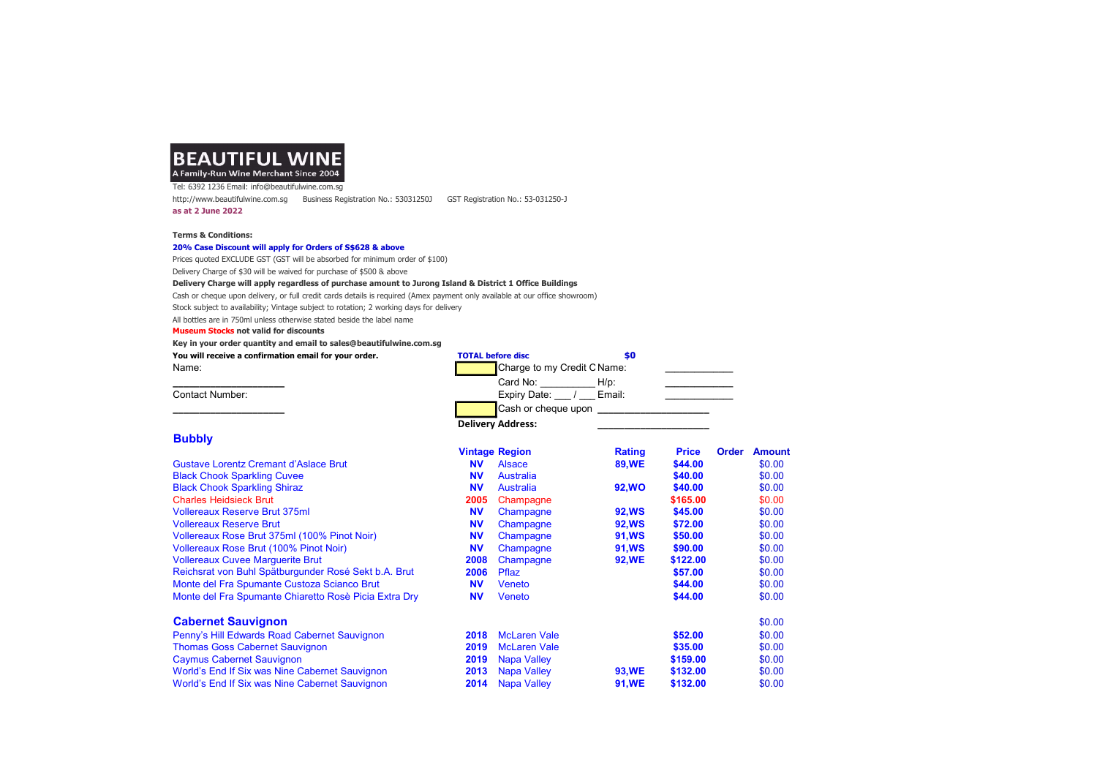## **BEAUTIFUL WINE** A Family-Run Wine Merchant Since 2004

Tel: 6392 1236 Email: info@beautifulwine.com.sg http://www.beautifulwine.com.sg Business Registration No.: 53031250J GST Registration No.: 53-031250-J as at 2 June 2022

#### Terms & Conditions:

#### 20% Case Discount will apply for Orders of S\$628 & above

Prices quoted EXCLUDE GST (GST will be absorbed for minimum order of \$100) Delivery Charge of \$30 will be waived for purchase of \$500 & above

#### Delivery Charge will apply regardless of purchase amount to Jurong Island & District 1 Office Buildings

Cash or cheque upon delivery, or full credit cards details is required (Amex payment only available at our office showroom)

Stock subject to availability; Vintage subject to rotation; 2 working days for delivery

All bottles are in 750ml unless otherwise stated beside the label name

#### Museum Stocks not valid for discounts

Key in your order quantity and email to sales@beautifulwine.com.sg

| You will receive a confirmation email for your order. | <b>TOTAL before disc</b>    |         |
|-------------------------------------------------------|-----------------------------|---------|
| Name:                                                 | Charge to my Credit C Name: |         |
|                                                       | Card No:                    | $H/p$ : |
| Contact Number:                                       | Expiry Date:                | Email:  |
|                                                       | Cash or cheque upon         |         |

# **Bubbly**

|                                                       |           | <b>Vintage Region</b> | <b>Rating</b> | <b>Price</b> | <b>Order</b> | <b>Amount</b> |
|-------------------------------------------------------|-----------|-----------------------|---------------|--------------|--------------|---------------|
| <b>Gustave Lorentz Cremant d'Aslace Brut</b>          | <b>NV</b> | <b>Alsace</b>         | <b>89,WE</b>  | \$44.00      |              | \$0.00        |
| <b>Black Chook Sparkling Cuvee</b>                    | <b>NV</b> | <b>Australia</b>      |               | \$40.00      |              | \$0.00        |
| <b>Black Chook Sparkling Shiraz</b>                   | <b>NV</b> | Australia             | <b>92,WO</b>  | \$40.00      |              | \$0.00        |
| <b>Charles Heidsieck Brut</b>                         | 2005      | Champagne             |               | \$165.00     |              | \$0.00        |
| <b>Vollereaux Reserve Brut 375ml</b>                  | <b>NV</b> | Champagne             | <b>92,WS</b>  | \$45.00      |              | \$0.00        |
| <b>Vollereaux Reserve Brut</b>                        | <b>NV</b> | Champagne             | <b>92,WS</b>  | \$72.00      |              | \$0.00        |
| Vollereaux Rose Brut 375ml (100% Pinot Noir)          | <b>NV</b> | Champagne             | <b>91,WS</b>  | \$50.00      |              | \$0.00        |
| <b>Vollereaux Rose Brut (100% Pinot Noir)</b>         | <b>NV</b> | Champagne             | <b>91,WS</b>  | \$90.00      |              | \$0.00        |
| <b>Vollereaux Cuvee Marquerite Brut</b>               | 2008      | Champagne             | <b>92,WE</b>  | \$122.00     |              | \$0.00        |
| Reichsrat von Buhl Spätburgunder Rosé Sekt b.A. Brut  | 2006      | Pflaz                 |               | \$57.00      |              | \$0.00        |
| Monte del Fra Spumante Custoza Scianco Brut           | <b>NV</b> | Veneto                |               | \$44.00      |              | \$0.00        |
| Monte del Fra Spumante Chiaretto Rosè Picia Extra Dry | <b>NV</b> | Veneto                |               | \$44.00      |              | \$0.00        |
| <b>Cabernet Sauvignon</b>                             |           |                       |               |              |              | \$0.00        |
| Penny's Hill Edwards Road Cabernet Sauvignon          | 2018      | <b>McLaren Vale</b>   |               | \$52.00      |              | \$0.00        |
| <b>Thomas Goss Cabernet Sauvignon</b>                 | 2019      | <b>McLaren Vale</b>   |               | \$35.00      |              | \$0.00        |
| <b>Caymus Cabernet Sauvignon</b>                      | 2019      | <b>Napa Valley</b>    |               | \$159.00     |              | \$0.00        |
| World's End If Six was Nine Cabernet Sauvignon        | 2013      | <b>Napa Valley</b>    | <b>93,WE</b>  | \$132.00     |              | \$0.00        |
| World's End If Six was Nine Cabernet Sauvignon        | 2014      | <b>Napa Valley</b>    | 91, WE        | \$132.00     |              | \$0.00        |

Delivery Address: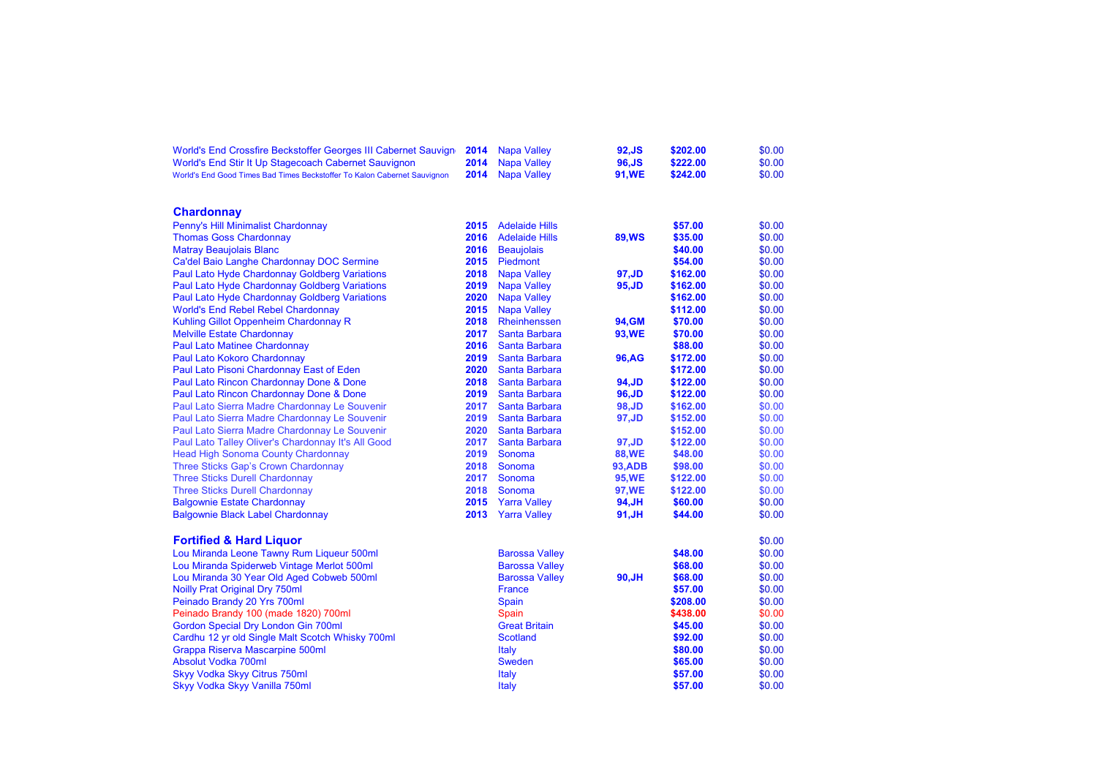| World's End Crossfire Beckstoffer Georges III Cabernet Sauvign           | 2014 | <b>Napa Valley</b>    | 92, JS         | \$202.00 | \$0.00 |
|--------------------------------------------------------------------------|------|-----------------------|----------------|----------|--------|
| World's End Stir It Up Stagecoach Cabernet Sauvignon                     | 2014 | <b>Napa Valley</b>    | 96, JS         | \$222.00 | \$0.00 |
| World's End Good Times Bad Times Beckstoffer To Kalon Cabernet Sauvignon | 2014 | <b>Napa Valley</b>    | 91, WE         | \$242.00 | \$0.00 |
|                                                                          |      |                       |                |          |        |
| <b>Chardonnay</b>                                                        |      |                       |                |          |        |
| Penny's Hill Minimalist Chardonnay                                       | 2015 | <b>Adelaide Hills</b> |                | \$57.00  | \$0.00 |
| <b>Thomas Goss Chardonnay</b>                                            | 2016 | <b>Adelaide Hills</b> | <b>89, WS</b>  | \$35.00  | \$0.00 |
| <b>Matray Beaujolais Blanc</b>                                           | 2016 | <b>Beaujolais</b>     |                | \$40.00  | \$0.00 |
| Ca'del Baio Langhe Chardonnay DOC Sermine                                | 2015 | Piedmont              |                | \$54.00  | \$0.00 |
| Paul Lato Hyde Chardonnay Goldberg Variations                            | 2018 | <b>Napa Valley</b>    | 97, JD         | \$162.00 | \$0.00 |
| Paul Lato Hyde Chardonnay Goldberg Variations                            | 2019 | <b>Napa Valley</b>    | 95, JD         | \$162.00 | \$0.00 |
| Paul Lato Hyde Chardonnay Goldberg Variations                            | 2020 | <b>Napa Valley</b>    |                | \$162.00 | \$0.00 |
| <b>World's End Rebel Rebel Chardonnay</b>                                | 2015 | <b>Napa Valley</b>    |                | \$112.00 | \$0.00 |
| Kuhling Gillot Oppenheim Chardonnay R                                    | 2018 | Rheinhenssen          | 94, GM         | \$70.00  | \$0.00 |
| <b>Melville Estate Chardonnay</b>                                        | 2017 | Santa Barbara         | 93, WE         | \$70.00  | \$0.00 |
| <b>Paul Lato Matinee Chardonnay</b>                                      | 2016 | Santa Barbara         |                | \$88.00  | \$0.00 |
| Paul Lato Kokoro Chardonnay                                              | 2019 | Santa Barbara         | 96.AG          | \$172.00 | \$0.00 |
| Paul Lato Pisoni Chardonnay East of Eden                                 | 2020 | <b>Santa Barbara</b>  |                | \$172.00 | \$0.00 |
| Paul Lato Rincon Chardonnay Done & Done                                  | 2018 | <b>Santa Barbara</b>  | 94, JD         | \$122.00 | \$0.00 |
| Paul Lato Rincon Chardonnay Done & Done                                  | 2019 | <b>Santa Barbara</b>  | 96, JD         | \$122.00 | \$0.00 |
| Paul Lato Sierra Madre Chardonnay Le Souvenir                            | 2017 | <b>Santa Barbara</b>  | 98, JD         | \$162.00 | \$0.00 |
| Paul Lato Sierra Madre Chardonnay Le Souvenir                            | 2019 | <b>Santa Barbara</b>  | 97, JD         | \$152.00 | \$0.00 |
| Paul Lato Sierra Madre Chardonnay Le Souvenir                            | 2020 | <b>Santa Barbara</b>  |                | \$152.00 | \$0.00 |
| Paul Lato Talley Oliver's Chardonnay It's All Good                       | 2017 | Santa Barbara         | 97, JD         | \$122.00 | \$0.00 |
| <b>Head High Sonoma County Chardonnay</b>                                | 2019 | Sonoma                | <b>88, WE</b>  | \$48.00  | \$0.00 |
| Three Sticks Gap's Crown Chardonnay                                      | 2018 | Sonoma                | <b>93, ADB</b> | \$98.00  | \$0.00 |
| <b>Three Sticks Durell Chardonnay</b>                                    | 2017 | Sonoma                | <b>95,WE</b>   | \$122.00 | \$0.00 |
| <b>Three Sticks Durell Chardonnay</b>                                    | 2018 | Sonoma                | 97, WE         | \$122.00 | \$0.00 |
| <b>Balgownie Estate Chardonnay</b>                                       | 2015 | <b>Yarra Valley</b>   | 94, JH         | \$60.00  | \$0.00 |
| <b>Balgownie Black Label Chardonnay</b>                                  | 2013 | <b>Yarra Valley</b>   | 91,JH          | \$44.00  | \$0.00 |
| <b>Fortified &amp; Hard Liquor</b>                                       |      |                       |                |          | \$0.00 |
| Lou Miranda Leone Tawny Rum Liqueur 500ml                                |      | <b>Barossa Valley</b> |                | \$48.00  | \$0.00 |
| Lou Miranda Spiderweb Vintage Merlot 500ml                               |      | <b>Barossa Valley</b> |                | \$68.00  | \$0.00 |
| Lou Miranda 30 Year Old Aged Cobweb 500ml                                |      | <b>Barossa Valley</b> | 90,JH          | \$68.00  | \$0.00 |
| Noilly Prat Original Dry 750ml                                           |      | <b>France</b>         |                | \$57.00  | \$0.00 |
| Peinado Brandy 20 Yrs 700ml                                              |      | Spain                 |                | \$208.00 | \$0.00 |
| Peinado Brandy 100 (made 1820) 700ml                                     |      | Spain                 |                | \$438.00 | \$0.00 |
| Gordon Special Dry London Gin 700ml                                      |      | <b>Great Britain</b>  |                | \$45.00  | \$0.00 |
| Cardhu 12 yr old Single Malt Scotch Whisky 700ml                         |      | <b>Scotland</b>       |                | \$92.00  | \$0.00 |
| Grappa Riserva Mascarpine 500ml                                          |      | Italy                 |                | \$80.00  | \$0.00 |
| Absolut Vodka 700ml                                                      |      | <b>Sweden</b>         |                | \$65.00  | \$0.00 |
| Skyy Vodka Skyy Citrus 750ml                                             |      | <b>Italy</b>          |                | \$57.00  | \$0.00 |
| Skyy Vodka Skyy Vanilla 750ml                                            |      | <b>Italy</b>          |                | \$57.00  | \$0.00 |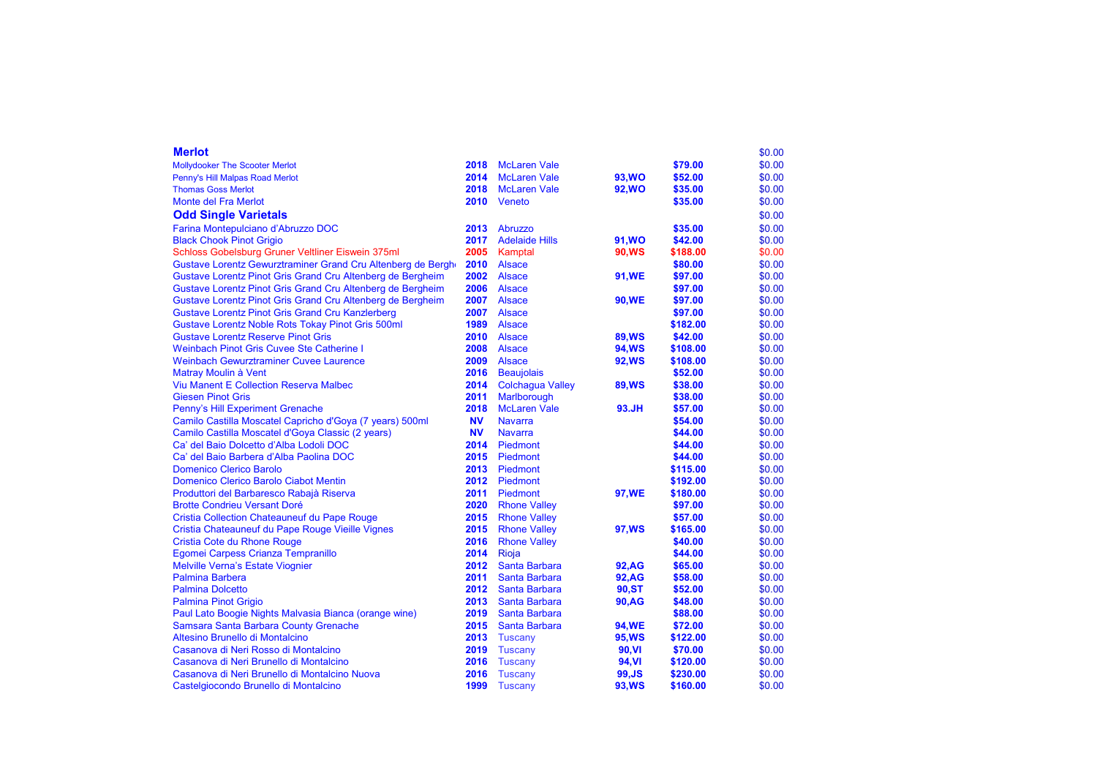| <b>Merlot</b>                                               |           |                         |               |          | \$0.00 |
|-------------------------------------------------------------|-----------|-------------------------|---------------|----------|--------|
| <b>Mollydooker The Scooter Merlot</b>                       | 2018      | <b>McLaren Vale</b>     |               | \$79.00  | \$0.00 |
| Penny's Hill Malpas Road Merlot                             | 2014      | <b>McLaren Vale</b>     | <b>93, WO</b> | \$52.00  | \$0.00 |
| <b>Thomas Goss Merlot</b>                                   | 2018      | <b>McLaren Vale</b>     | <b>92, WO</b> | \$35.00  | \$0.00 |
| Monte del Fra Merlot                                        | 2010      | Veneto                  |               | \$35.00  | \$0.00 |
| <b>Odd Single Varietals</b>                                 |           |                         |               |          | \$0.00 |
| Farina Montepulciano d'Abruzzo DOC                          | 2013      | Abruzzo                 |               | \$35.00  | \$0.00 |
| <b>Black Chook Pinot Grigio</b>                             | 2017      | <b>Adelaide Hills</b>   | 91, WO        | \$42.00  | \$0.00 |
| Schloss Gobelsburg Gruner Veltliner Eiswein 375ml           | 2005      | Kamptal                 | 90, WS        | \$188.00 | \$0.00 |
| Gustave Lorentz Gewurztraminer Grand Cru Altenberg de Bergh | 2010      | <b>Alsace</b>           |               | \$80.00  | \$0.00 |
| Gustave Lorentz Pinot Gris Grand Cru Altenberg de Bergheim  | 2002      | <b>Alsace</b>           | <b>91,WE</b>  | \$97.00  | \$0.00 |
| Gustave Lorentz Pinot Gris Grand Cru Altenberg de Bergheim  | 2006      | <b>Alsace</b>           |               | \$97.00  | \$0.00 |
| Gustave Lorentz Pinot Gris Grand Cru Altenberg de Bergheim  | 2007      | <b>Alsace</b>           | <b>90,WE</b>  | \$97.00  | \$0.00 |
| <b>Gustave Lorentz Pinot Gris Grand Cru Kanzlerberg</b>     | 2007      | <b>Alsace</b>           |               | \$97.00  | \$0.00 |
| <b>Gustave Lorentz Noble Rots Tokay Pinot Gris 500ml</b>    | 1989      | <b>Alsace</b>           |               | \$182.00 | \$0.00 |
| <b>Gustave Lorentz Reserve Pinot Gris</b>                   | 2010      | <b>Alsace</b>           | <b>89, WS</b> | \$42.00  | \$0.00 |
| <b>Weinbach Pinot Gris Cuvee Ste Catherine I</b>            | 2008      | <b>Alsace</b>           | <b>94, WS</b> | \$108.00 | \$0.00 |
| <b>Weinbach Gewurztraminer Cuvee Laurence</b>               | 2009      | <b>Alsace</b>           | <b>92, WS</b> | \$108.00 | \$0.00 |
| Matray Moulin à Vent                                        | 2016      | <b>Beaujolais</b>       |               | \$52.00  | \$0.00 |
| Viu Manent E Collection Reserva Malbec                      | 2014      | <b>Colchagua Valley</b> | <b>89, WS</b> | \$38.00  | \$0.00 |
| <b>Giesen Pinot Gris</b>                                    | 2011      | Marlborough             |               | \$38.00  | \$0.00 |
| Penny's Hill Experiment Grenache                            | 2018      | <b>McLaren Vale</b>     | 93.JH         | \$57.00  | \$0.00 |
| Camilo Castilla Moscatel Capricho d'Goya (7 years) 500ml    | <b>NV</b> | <b>Navarra</b>          |               | \$54.00  | \$0.00 |
| Camilo Castilla Moscatel d'Goya Classic (2 years)           | <b>NV</b> | <b>Navarra</b>          |               | \$44.00  | \$0.00 |
| Ca' del Baio Dolcetto d'Alba Lodoli DOC                     | 2014      | Piedmont                |               | \$44.00  | \$0.00 |
| Ca' del Baio Barbera d'Alba Paolina DOC                     | 2015      | Piedmont                |               | \$44.00  | \$0.00 |
| <b>Domenico Clerico Barolo</b>                              | 2013      | Piedmont                |               | \$115.00 | \$0.00 |
| Domenico Clerico Barolo Ciabot Mentin                       | 2012      | Piedmont                |               | \$192.00 | \$0.00 |
| Produttori del Barbaresco Rabajà Riserva                    | 2011      | Piedmont                | <b>97, WE</b> | \$180.00 | \$0.00 |
| <b>Brotte Condrieu Versant Doré</b>                         | 2020      | <b>Rhone Valley</b>     |               | \$97.00  | \$0.00 |
| Cristia Collection Chateauneuf du Pape Rouge                | 2015      | <b>Rhone Valley</b>     |               | \$57.00  | \$0.00 |
| Cristia Chateauneuf du Pape Rouge Vieille Vignes            | 2015      | <b>Rhone Valley</b>     | 97, WS        | \$165.00 | \$0.00 |
| <b>Cristia Cote du Rhone Rouge</b>                          | 2016      | <b>Rhone Valley</b>     |               | \$40.00  | \$0.00 |
| Egomei Carpess Crianza Tempranillo                          | 2014      | Rioja                   |               | \$44.00  | \$0.00 |
| <b>Melville Verna's Estate Viognier</b>                     | 2012      | Santa Barbara           | 92.AG         | \$65.00  | \$0.00 |
| <b>Palmina Barbera</b>                                      | 2011      | Santa Barbara           | <b>92, AG</b> | \$58.00  | \$0.00 |
| <b>Palmina Dolcetto</b>                                     | 2012      | Santa Barbara           | 90.ST         | \$52.00  | \$0.00 |
| <b>Palmina Pinot Grigio</b>                                 | 2013      | Santa Barbara           | <b>90,AG</b>  | \$48.00  | \$0.00 |
| Paul Lato Boogie Nights Malvasia Bianca (orange wine)       | 2019      | Santa Barbara           |               | \$88.00  | \$0.00 |
| Samsara Santa Barbara County Grenache                       | 2015      | Santa Barbara           | <b>94,WE</b>  | \$72.00  | \$0.00 |
| Altesino Brunello di Montalcino                             | 2013      | Tuscany                 | <b>95,WS</b>  | \$122.00 | \$0.00 |
| Casanova di Neri Rosso di Montalcino                        | 2019      | <b>Tuscany</b>          | 90,VI         | \$70.00  | \$0.00 |
| Casanova di Neri Brunello di Montalcino                     | 2016      | <b>Tuscany</b>          | 94, VI        | \$120.00 | \$0.00 |
| Casanova di Neri Brunello di Montalcino Nuova               | 2016      | Tuscany                 | 99, JS        | \$230.00 | \$0.00 |
| Castelgiocondo Brunello di Montalcino                       | 1999      | <b>Tuscany</b>          | 93, WS        | \$160.00 | \$0.00 |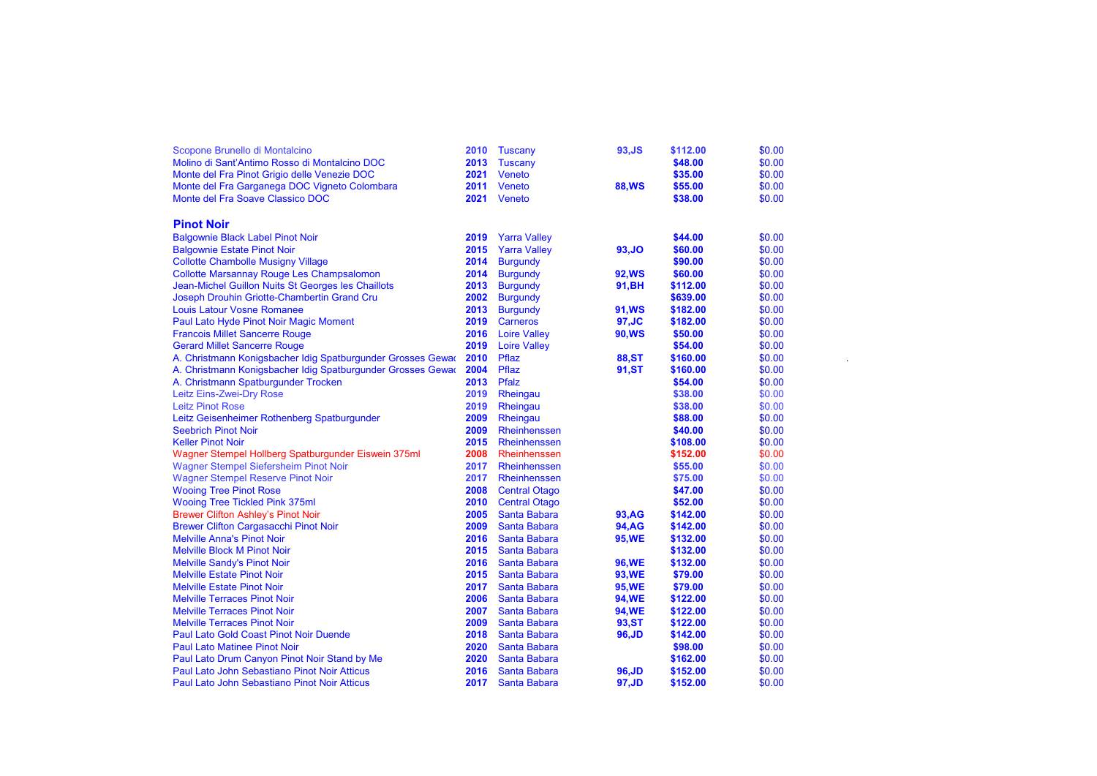| Scopone Brunello di Montalcino                              | 2010 | Tuscany              | 93, JS        | \$112.00 | \$0.00 |  |
|-------------------------------------------------------------|------|----------------------|---------------|----------|--------|--|
| Molino di Sant'Antimo Rosso di Montalcino DOC               | 2013 | Tuscany              |               | \$48.00  | \$0.00 |  |
| Monte del Fra Pinot Grigio delle Venezie DOC                | 2021 | Veneto               |               | \$35.00  | \$0.00 |  |
| Monte del Fra Garganega DOC Vigneto Colombara               | 2011 | Veneto               | <b>88, WS</b> | \$55.00  | \$0.00 |  |
| Monte del Fra Soave Classico DOC                            | 2021 | Veneto               |               | \$38.00  | \$0.00 |  |
|                                                             |      |                      |               |          |        |  |
| <b>Pinot Noir</b>                                           |      |                      |               |          |        |  |
| <b>Balgownie Black Label Pinot Noir</b>                     | 2019 | <b>Yarra Valley</b>  |               | \$44.00  | \$0.00 |  |
| <b>Balgownie Estate Pinot Noir</b>                          | 2015 | <b>Yarra Valley</b>  | 93, JO        | \$60.00  | \$0.00 |  |
| <b>Collotte Chambolle Musigny Village</b>                   | 2014 | <b>Burgundy</b>      |               | \$90.00  | \$0.00 |  |
| <b>Collotte Marsannay Rouge Les Champsalomon</b>            | 2014 | <b>Burgundy</b>      | <b>92, WS</b> | \$60.00  | \$0.00 |  |
| Jean-Michel Guillon Nuits St Georges les Chaillots          | 2013 | <b>Burgundy</b>      | 91, BH        | \$112.00 | \$0.00 |  |
| Joseph Drouhin Griotte-Chambertin Grand Cru                 | 2002 | <b>Burgundy</b>      |               | \$639.00 | \$0.00 |  |
| <b>Louis Latour Vosne Romanee</b>                           | 2013 | <b>Burgundy</b>      | <b>91,WS</b>  | \$182.00 | \$0.00 |  |
| Paul Lato Hyde Pinot Noir Magic Moment                      | 2019 | Carneros             | 97.JC         | \$182.00 | \$0.00 |  |
| <b>Francois Millet Sancerre Rouge</b>                       | 2016 | <b>Loire Valley</b>  | <b>90, WS</b> | \$50.00  | \$0.00 |  |
| <b>Gerard Millet Sancerre Rouge</b>                         | 2019 | <b>Loire Valley</b>  |               | \$54.00  | \$0.00 |  |
| A. Christmann Konigsbacher Idig Spatburgunder Grosses Gewar | 2010 | Pflaz                | <b>88,ST</b>  | \$160.00 | \$0.00 |  |
| A. Christmann Konigsbacher Idig Spatburgunder Grosses Gewar | 2004 | Pflaz                | 91,ST         | \$160.00 | \$0.00 |  |
| A. Christmann Spatburgunder Trocken                         | 2013 | Pfalz                |               | \$54.00  | \$0.00 |  |
| Leitz Eins-Zwei-Dry Rose                                    | 2019 | Rheingau             |               | \$38.00  | \$0.00 |  |
| <b>Leitz Pinot Rose</b>                                     | 2019 | Rheingau             |               | \$38.00  | \$0.00 |  |
| Leitz Geisenheimer Rothenberg Spatburgunder                 | 2009 | Rheingau             |               | \$88.00  | \$0.00 |  |
| <b>Seebrich Pinot Noir</b>                                  | 2009 | Rheinhenssen         |               | \$40.00  | \$0.00 |  |
| <b>Keller Pinot Noir</b>                                    | 2015 | <b>Rheinhenssen</b>  |               | \$108.00 | \$0.00 |  |
| Wagner Stempel Hollberg Spatburgunder Eiswein 375ml         | 2008 | Rheinhenssen         |               | \$152.00 | \$0.00 |  |
| <b>Wagner Stempel Siefersheim Pinot Noir</b>                | 2017 | Rheinhenssen         |               | \$55.00  | \$0.00 |  |
| <b>Wagner Stempel Reserve Pinot Noir</b>                    | 2017 | Rheinhenssen         |               | \$75.00  | \$0.00 |  |
| <b>Wooing Tree Pinot Rose</b>                               | 2008 | <b>Central Otago</b> |               | \$47.00  | \$0.00 |  |
| <b>Wooing Tree Tickled Pink 375ml</b>                       | 2010 | <b>Central Otago</b> |               | \$52.00  | \$0.00 |  |
| <b>Brewer Clifton Ashley's Pinot Noir</b>                   | 2005 | Santa Babara         | 93, AG        | \$142.00 | \$0.00 |  |
| <b>Brewer Clifton Cargasacchi Pinot Noir</b>                | 2009 | Santa Babara         | <b>94, AG</b> | \$142.00 | \$0.00 |  |
| <b>Melville Anna's Pinot Noir</b>                           | 2016 | Santa Babara         | <b>95,WE</b>  | \$132.00 | \$0.00 |  |
| <b>Melville Block M Pinot Noir</b>                          | 2015 | Santa Babara         |               | \$132.00 | \$0.00 |  |
| <b>Melville Sandy's Pinot Noir</b>                          | 2016 | Santa Babara         | <b>96,WE</b>  | \$132.00 | \$0.00 |  |
| <b>Melville Estate Pinot Noir</b>                           | 2015 | Santa Babara         | 93, WE        | \$79.00  | \$0.00 |  |
| <b>Melville Estate Pinot Noir</b>                           | 2017 | Santa Babara         | <b>95,WE</b>  | \$79.00  | \$0.00 |  |
| <b>Melville Terraces Pinot Noir</b>                         | 2006 | Santa Babara         | <b>94,WE</b>  | \$122.00 | \$0.00 |  |
| <b>Melville Terraces Pinot Noir</b>                         | 2007 | Santa Babara         | <b>94,WE</b>  | \$122.00 | \$0.00 |  |
| <b>Melville Terraces Pinot Noir</b>                         | 2009 | Santa Babara         | 93, ST        | \$122.00 | \$0.00 |  |
| <b>Paul Lato Gold Coast Pinot Noir Duende</b>               | 2018 | <b>Santa Babara</b>  | 96, JD        | \$142.00 | \$0.00 |  |
| <b>Paul Lato Matinee Pinot Noir</b>                         | 2020 | Santa Babara         |               | \$98.00  | \$0.00 |  |
| Paul Lato Drum Canyon Pinot Noir Stand by Me                | 2020 | Santa Babara         |               | \$162.00 | \$0.00 |  |
| Paul Lato John Sebastiano Pinot Noir Atticus                | 2016 | Santa Babara         | 96,JD         | \$152.00 | \$0.00 |  |
| Paul Lato John Sebastiano Pinot Noir Atticus                | 2017 | Santa Babara         | 97,JD         | \$152.00 | \$0.00 |  |
|                                                             |      |                      |               |          |        |  |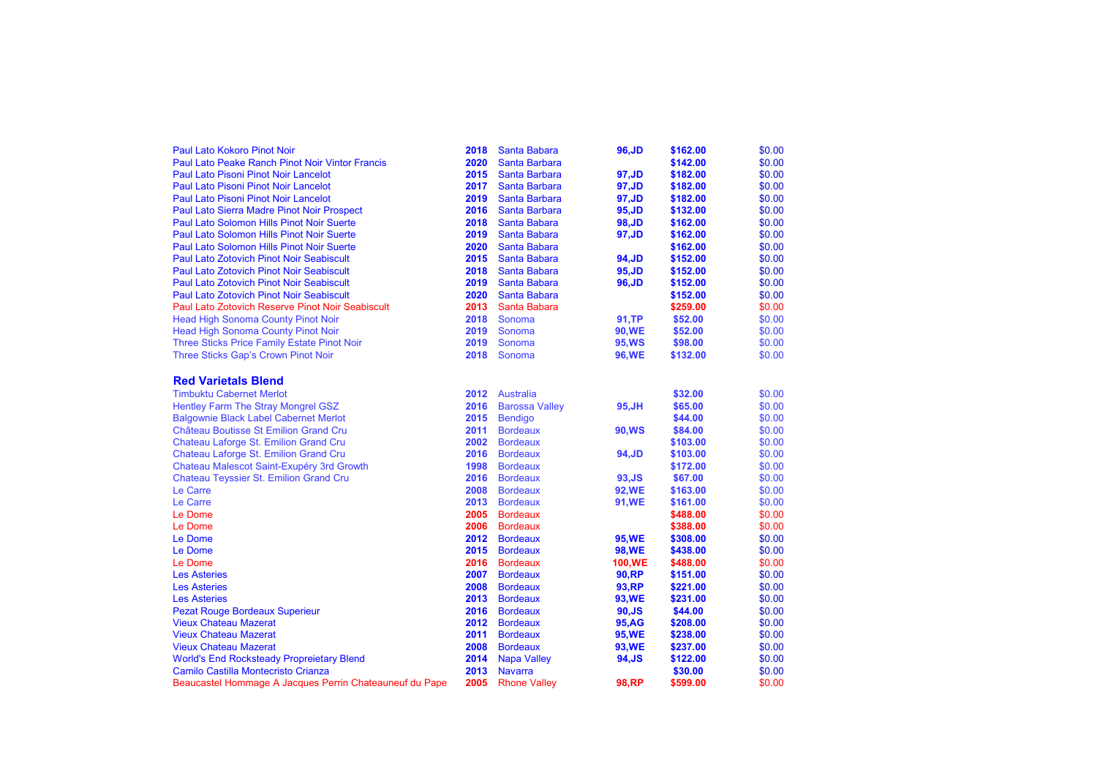| <b>Paul Lato Kokoro Pinot Noir</b>                      | 2018 | Santa Babara          | 96, JD        | \$162.00 | \$0.00 |
|---------------------------------------------------------|------|-----------------------|---------------|----------|--------|
| <b>Paul Lato Peake Ranch Pinot Noir Vintor Francis</b>  | 2020 | <b>Santa Barbara</b>  |               | \$142.00 | \$0.00 |
| <b>Paul Lato Pisoni Pinot Noir Lancelot</b>             | 2015 | <b>Santa Barbara</b>  | 97, JD        | \$182.00 | \$0.00 |
| <b>Paul Lato Pisoni Pinot Noir Lancelot</b>             | 2017 | <b>Santa Barbara</b>  | 97,JD         | \$182.00 | \$0.00 |
| <b>Paul Lato Pisoni Pinot Noir Lancelot</b>             | 2019 | <b>Santa Barbara</b>  | 97, JD        | \$182.00 | \$0.00 |
| <b>Paul Lato Sierra Madre Pinot Noir Prospect</b>       | 2016 | <b>Santa Barbara</b>  | 95, JD        | \$132.00 | \$0.00 |
| Paul Lato Solomon Hills Pinot Noir Suerte               | 2018 | Santa Babara          | 98, JD        | \$162.00 | \$0.00 |
| <b>Paul Lato Solomon Hills Pinot Noir Suerte</b>        | 2019 | Santa Babara          | 97,JD         | \$162.00 | \$0.00 |
| Paul Lato Solomon Hills Pinot Noir Suerte               | 2020 | Santa Babara          |               | \$162.00 | \$0.00 |
| <b>Paul Lato Zotovich Pinot Noir Seabiscult</b>         | 2015 | Santa Babara          | 94, JD        | \$152.00 | \$0.00 |
| <b>Paul Lato Zotovich Pinot Noir Seabiscult</b>         | 2018 | Santa Babara          | 95, JD        | \$152.00 | \$0.00 |
| <b>Paul Lato Zotovich Pinot Noir Seabiscult</b>         | 2019 | Santa Babara          | 96, JD        | \$152.00 | \$0.00 |
| <b>Paul Lato Zotovich Pinot Noir Seabiscult</b>         | 2020 | Santa Babara          |               | \$152.00 | \$0.00 |
| Paul Lato Zotovich Reserve Pinot Noir Seabiscult        | 2013 | Santa Babara          |               | \$259.00 | \$0.00 |
| <b>Head High Sonoma County Pinot Noir</b>               | 2018 | Sonoma                | 91.TP         | \$52.00  | \$0.00 |
| <b>Head High Sonoma County Pinot Noir</b>               | 2019 | Sonoma                | <b>90,WE</b>  | \$52.00  | \$0.00 |
| Three Sticks Price Family Estate Pinot Noir             | 2019 | Sonoma                | <b>95, WS</b> | \$98.00  | \$0.00 |
| Three Sticks Gap's Crown Pinot Noir                     | 2018 | Sonoma                | <b>96,WE</b>  | \$132.00 | \$0.00 |
|                                                         |      |                       |               |          |        |
| <b>Red Varietals Blend</b>                              |      |                       |               |          |        |
| <b>Timbuktu Cabernet Merlot</b>                         | 2012 | <b>Australia</b>      |               | \$32.00  | \$0.00 |
| Hentley Farm The Stray Mongrel GSZ                      | 2016 | <b>Barossa Valley</b> | 95, JH        | \$65.00  | \$0.00 |
| <b>Balgownie Black Label Cabernet Merlot</b>            | 2015 | <b>Bendigo</b>        |               | \$44.00  | \$0.00 |
| Château Boutisse St Emilion Grand Cru                   | 2011 | <b>Bordeaux</b>       | 90, WS        | \$84.00  | \$0.00 |
| Chateau Laforge St. Emilion Grand Cru                   | 2002 | <b>Bordeaux</b>       |               | \$103.00 | \$0.00 |
| Chateau Laforge St. Emilion Grand Cru                   | 2016 | <b>Bordeaux</b>       | 94, JD        | \$103.00 | \$0.00 |
| Chateau Malescot Saint-Exupéry 3rd Growth               | 1998 | <b>Bordeaux</b>       |               | \$172.00 | \$0.00 |
| Chateau Teyssier St. Emilion Grand Cru                  | 2016 | <b>Bordeaux</b>       | 93, JS        | \$67.00  | \$0.00 |
| Le Carre                                                | 2008 | <b>Bordeaux</b>       | <b>92,WE</b>  | \$163.00 | \$0.00 |
| Le Carre                                                | 2013 | <b>Bordeaux</b>       | 91, WE        | \$161.00 | \$0.00 |
| Le Dome                                                 | 2005 | <b>Bordeaux</b>       |               | \$488.00 | \$0.00 |
| Le Dome                                                 | 2006 | <b>Bordeaux</b>       |               | \$388.00 | \$0.00 |
| Le Dome                                                 | 2012 | <b>Bordeaux</b>       | <b>95,WE</b>  | \$308.00 | \$0.00 |
| Le Dome                                                 | 2015 | <b>Bordeaux</b>       | <b>98,WE</b>  | \$438.00 | \$0.00 |
| Le Dome                                                 | 2016 | <b>Bordeaux</b>       | <b>100,WE</b> | \$488.00 | \$0.00 |
| <b>Les Asteries</b>                                     | 2007 | <b>Bordeaux</b>       | <b>90, RP</b> | \$151.00 | \$0.00 |
| <b>Les Asteries</b>                                     | 2008 | <b>Bordeaux</b>       | 93, RP        | \$221.00 | \$0.00 |
| <b>Les Asteries</b>                                     | 2013 | <b>Bordeaux</b>       | 93, WE        | \$231.00 | \$0.00 |
| <b>Pezat Rouge Bordeaux Superieur</b>                   | 2016 | <b>Bordeaux</b>       | $90,$ JS      | \$44.00  | \$0.00 |
| <b>Vieux Chateau Mazerat</b>                            | 2012 | <b>Bordeaux</b>       | <b>95, AG</b> | \$208.00 | \$0.00 |
| <b>Vieux Chateau Mazerat</b>                            | 2011 | <b>Bordeaux</b>       | <b>95,WE</b>  | \$238.00 | \$0.00 |
| <b>Vieux Chateau Mazerat</b>                            | 2008 | <b>Bordeaux</b>       | 93, WE        | \$237.00 | \$0.00 |
| <b>World's End Rocksteady Propreietary Blend</b>        | 2014 | <b>Napa Valley</b>    | 94, JS        | \$122.00 | \$0.00 |
| Camilo Castilla Montecristo Crianza                     | 2013 | <b>Navarra</b>        |               | \$30.00  | \$0.00 |
| Beaucastel Hommage A Jacques Perrin Chateauneuf du Pape | 2005 | <b>Rhone Valley</b>   | <b>98.RP</b>  | \$599.00 | \$0.00 |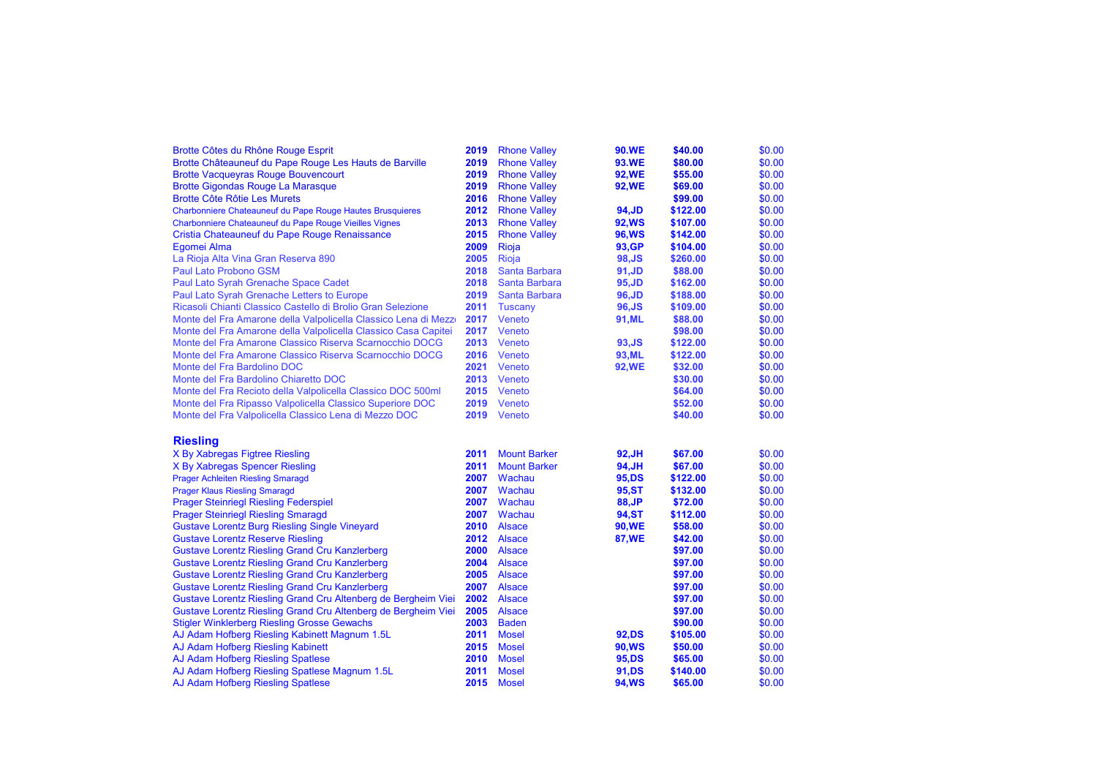| Brotte Côtes du Rhône Rouge Esprit                                                                  | 2019         | <b>Rhone Valley</b>            | <b>90.WE</b>           | \$40.00             | \$0.00           |
|-----------------------------------------------------------------------------------------------------|--------------|--------------------------------|------------------------|---------------------|------------------|
| Brotte Châteauneuf du Pape Rouge Les Hauts de Barville                                              | 2019         | <b>Rhone Valley</b>            | <b>93.WE</b>           | \$80.00             | \$0.00           |
| <b>Brotte Vacqueyras Rouge Bouvencourt</b>                                                          | 2019         | <b>Rhone Valley</b>            | <b>92, WE</b>          | \$55.00             | \$0.00           |
| <b>Brotte Gigondas Rouge La Marasque</b>                                                            | 2019         | <b>Rhone Valley</b>            | <b>92, WE</b>          | \$69.00             | \$0.00           |
| <b>Brotte Côte Rôtie Les Murets</b>                                                                 | 2016         | <b>Rhone Valley</b>            |                        | \$99.00             | \$0.00           |
| Charbonniere Chateauneuf du Pape Rouge Hautes Brusquieres                                           | 2012         | <b>Rhone Valley</b>            | 94, JD                 | \$122.00            | \$0.00           |
| Charbonniere Chateauneuf du Pape Rouge Vieilles Vignes                                              | 2013         | <b>Rhone Valley</b>            | <b>92, WS</b>          | \$107.00            | \$0.00           |
| Cristia Chateauneuf du Pape Rouge Renaissance                                                       | 2015         | <b>Rhone Valley</b>            | <b>96, WS</b>          | \$142.00            | \$0.00           |
| Egomei Alma                                                                                         | 2009         | Rioja                          | 93, GP                 | \$104.00            | \$0.00           |
| La Rioja Alta Vina Gran Reserva 890                                                                 | 2005         | Rioja                          | 98, JS                 | \$260.00            | \$0.00           |
| <b>Paul Lato Probono GSM</b>                                                                        | 2018         | Santa Barbara                  | 91, JD                 | \$88.00             | \$0.00           |
| Paul Lato Syrah Grenache Space Cadet                                                                | 2018         | Santa Barbara                  | 95, JD                 | \$162.00            | \$0.00           |
| Paul Lato Syrah Grenache Letters to Europe                                                          | 2019         | Santa Barbara                  | 96, JD                 | \$188.00            | \$0.00           |
| Ricasoli Chianti Classico Castello di Brolio Gran Selezione                                         | 2011         | <b>Tuscany</b>                 | 96, JS                 | \$109.00            | \$0.00           |
| Monte del Fra Amarone della Valpolicella Classico Lena di Mezzo                                     | 2017         | Veneto                         | 91, ML                 | \$88.00             | \$0.00           |
| Monte del Fra Amarone della Valpolicella Classico Casa Capitei                                      | 2017         | Veneto                         |                        | \$98.00             | \$0.00           |
| Monte del Fra Amarone Classico Riserva Scarnocchio DOCG                                             | 2013         | Veneto                         | 93, JS                 | \$122.00            | \$0.00           |
| Monte del Fra Amarone Classico Riserva Scarnocchio DOCG                                             | 2016         | Veneto                         | 93, ML                 | \$122.00            | \$0.00           |
| Monte del Fra Bardolino DOC                                                                         | 2021         | Veneto                         | <b>92, WE</b>          | \$32.00             | \$0.00           |
| Monte del Fra Bardolino Chiaretto DOC                                                               | 2013         | Veneto                         |                        | \$30.00             | \$0.00           |
| Monte del Fra Recioto della Valpolicella Classico DOC 500ml                                         | 2015         | Veneto                         |                        | \$64.00             | \$0.00           |
| Monte del Fra Ripasso Valpolicella Classico Superiore DOC                                           | 2019         | Veneto                         |                        | \$52.00             | \$0.00           |
| Monte del Fra Valpolicella Classico Lena di Mezzo DOC                                               | 2019         | Veneto                         |                        | \$40.00             | \$0.00           |
|                                                                                                     |              |                                |                        |                     |                  |
|                                                                                                     |              |                                |                        |                     |                  |
|                                                                                                     |              |                                |                        |                     |                  |
| <b>Riesling</b>                                                                                     | 2011         | <b>Mount Barker</b>            |                        |                     |                  |
| X By Xabregas Figtree Riesling                                                                      |              |                                | 92, JH                 | \$67.00             | \$0.00           |
| X By Xabregas Spencer Riesling                                                                      | 2011         | <b>Mount Barker</b>            | 94, JH                 | \$67.00             | \$0.00           |
| <b>Prager Achleiten Riesling Smaragd</b>                                                            | 2007         | Wachau                         | 95, DS                 | \$122.00            | \$0.00           |
| <b>Prager Klaus Riesling Smaragd</b>                                                                | 2007<br>2007 | Wachau                         | 95, ST                 | \$132.00            | \$0.00           |
| <b>Prager Steinriegl Riesling Federspiel</b>                                                        | 2007         | Wachau<br>Wachau               | 88, JP<br><b>94,ST</b> | \$72.00<br>\$112.00 | \$0.00<br>\$0.00 |
| <b>Prager Steinriegl Riesling Smaragd</b>                                                           |              |                                |                        |                     |                  |
| <b>Gustave Lorentz Burg Riesling Single Vineyard</b>                                                | 2010         | <b>Alsace</b>                  | 90, WE                 | \$58.00             | \$0.00           |
| <b>Gustave Lorentz Reserve Riesling</b>                                                             | 2012<br>2000 | <b>Alsace</b><br><b>Alsace</b> | <b>87,WE</b>           | \$42.00<br>\$97.00  | \$0.00           |
| <b>Gustave Lorentz Riesling Grand Cru Kanzlerberg</b>                                               | 2004         | <b>Alsace</b>                  |                        |                     | \$0.00           |
| <b>Gustave Lorentz Riesling Grand Cru Kanzlerberg</b>                                               |              |                                |                        | \$97.00             | \$0.00           |
| <b>Gustave Lorentz Riesling Grand Cru Kanzlerberg</b>                                               | 2005<br>2007 | <b>Alsace</b><br><b>Alsace</b> |                        | \$97.00             | \$0.00           |
| <b>Gustave Lorentz Riesling Grand Cru Kanzlerberg</b>                                               | 2002         | <b>Alsace</b>                  |                        | \$97.00<br>\$97.00  | \$0.00<br>\$0.00 |
| Gustave Lorentz Riesling Grand Cru Altenberg de Bergheim Viei                                       | 2005         | <b>Alsace</b>                  |                        | \$97.00             | \$0.00           |
| Gustave Lorentz Riesling Grand Cru Altenberg de Bergheim Viei                                       | 2003         | <b>Baden</b>                   |                        | \$90.00             | \$0.00           |
| <b>Stigler Winklerberg Riesling Grosse Gewachs</b><br>AJ Adam Hofberg Riesling Kabinett Magnum 1.5L | 2011         | <b>Mosel</b>                   | 92, DS                 | \$105.00            | \$0.00           |
|                                                                                                     | 2015         | <b>Mosel</b>                   |                        | \$50.00             |                  |
| AJ Adam Hofberg Riesling Kabinett                                                                   | 2010         | <b>Mosel</b>                   | 90, WS<br>95, DS       | \$65.00             | \$0.00<br>\$0.00 |
| AJ Adam Hofberg Riesling Spatlese<br>AJ Adam Hofberg Riesling Spatlese Magnum 1.5L                  | 2011         | <b>Mosel</b>                   | 91,DS                  | \$140.00            | \$0.00           |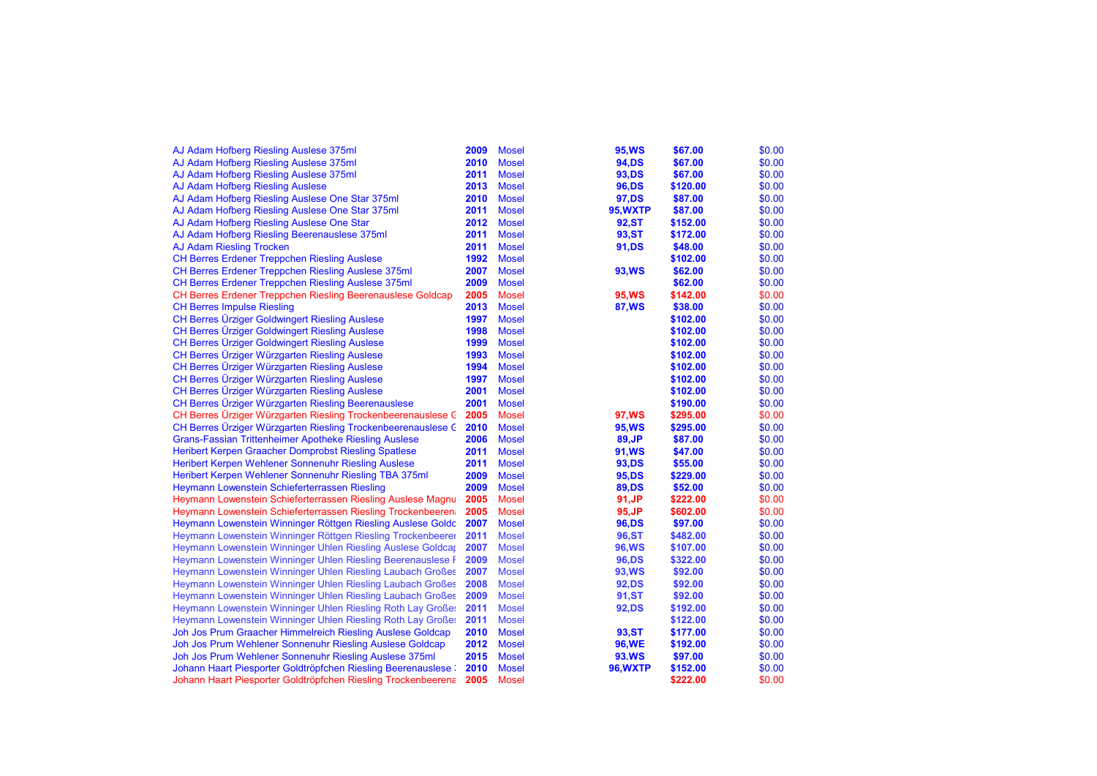| AJ Adam Hofberg Riesling Auslese 375ml                            | 2009 | <b>Mosel</b> | 95, WS          | \$67.00  | \$0.00 |
|-------------------------------------------------------------------|------|--------------|-----------------|----------|--------|
| AJ Adam Hofberg Riesling Auslese 375ml                            | 2010 | <b>Mosel</b> | 94, DS          | \$67.00  | \$0.00 |
| AJ Adam Hofberg Riesling Auslese 375ml                            | 2011 | <b>Mosel</b> | 93, DS          | \$67.00  | \$0.00 |
| AJ Adam Hofberg Riesling Auslese                                  | 2013 | <b>Mosel</b> | 96,DS           | \$120.00 | \$0.00 |
| AJ Adam Hofberg Riesling Auslese One Star 375ml                   | 2010 | <b>Mosel</b> | 97, DS          | \$87.00  | \$0.00 |
| AJ Adam Hofberg Riesling Auslese One Star 375ml                   | 2011 | <b>Mosel</b> | 95, WXTP        | \$87.00  | \$0.00 |
| AJ Adam Hofberg Riesling Auslese One Star                         | 2012 | <b>Mosel</b> | <b>92,ST</b>    | \$152.00 | \$0.00 |
| AJ Adam Hofberg Riesling Beerenauslese 375ml                      | 2011 | <b>Mosel</b> | 93, ST          | \$172.00 | \$0.00 |
| <b>AJ Adam Riesling Trocken</b>                                   | 2011 | <b>Mosel</b> | 91, DS          | \$48.00  | \$0.00 |
| <b>CH Berres Erdener Treppchen Riesling Auslese</b>               | 1992 | <b>Mosel</b> |                 | \$102.00 | \$0.00 |
| CH Berres Erdener Treppchen Riesling Auslese 375ml                | 2007 | <b>Mosel</b> | 93, WS          | \$62.00  | \$0.00 |
| CH Berres Erdener Treppchen Riesling Auslese 375ml                | 2009 | <b>Mosel</b> |                 | \$62.00  | \$0.00 |
| <b>CH Berres Erdener Treppchen Riesling Beerenauslese Goldcap</b> | 2005 | <b>Mosel</b> | 95, WS          | \$142.00 | \$0.00 |
| <b>CH Berres Impulse Riesling</b>                                 | 2013 | <b>Mosel</b> | <b>87, WS</b>   | \$38.00  | \$0.00 |
| <b>CH Berres Ürziger Goldwingert Riesling Auslese</b>             | 1997 | <b>Mosel</b> |                 | \$102.00 | \$0.00 |
| <b>CH Berres Ürziger Goldwingert Riesling Auslese</b>             | 1998 | <b>Mosel</b> |                 | \$102.00 | \$0.00 |
| <b>CH Berres Ürziger Goldwingert Riesling Auslese</b>             | 1999 | <b>Mosel</b> |                 | \$102.00 | \$0.00 |
| CH Berres Urziger Würzgarten Riesling Auslese                     | 1993 | <b>Mosel</b> |                 | \$102.00 | \$0.00 |
| CH Berres Ürziger Würzgarten Riesling Auslese                     | 1994 | <b>Mosel</b> |                 | \$102.00 | \$0.00 |
| CH Berres Ürziger Würzgarten Riesling Auslese                     | 1997 | <b>Mosel</b> |                 | \$102.00 | \$0.00 |
| <b>CH Berres Ürziger Würzgarten Riesling Auslese</b>              | 2001 | <b>Mosel</b> |                 | \$102.00 | \$0.00 |
| <b>CH Berres Ürziger Würzgarten Riesling Beerenauslese</b>        | 2001 | <b>Mosel</b> |                 | \$190.00 | \$0.00 |
| CH Berres Ürziger Würzgarten Riesling Trockenbeerenauslese G      | 2005 | <b>Mosel</b> | 97, WS          | \$295.00 | \$0.00 |
| CH Berres Ürziger Würzgarten Riesling Trockenbeerenauslese G      | 2010 | <b>Mosel</b> | 95, WS          | \$295.00 | \$0.00 |
| Grans-Fassian Trittenheimer Apotheke Riesling Auslese             | 2006 | <b>Mosel</b> | 89, JP          | \$87.00  | \$0.00 |
| Heribert Kerpen Graacher Domprobst Riesling Spatlese              | 2011 | <b>Mosel</b> | 91, WS          | \$47.00  | \$0.00 |
| Heribert Kerpen Wehlener Sonnenuhr Riesling Auslese               | 2011 | <b>Mosel</b> | 93, DS          | \$55.00  | \$0.00 |
| Heribert Kerpen Wehlener Sonnenuhr Riesling TBA 375ml             | 2009 | <b>Mosel</b> | 95, DS          | \$229.00 | \$0.00 |
| Heymann Lowenstein Schieferterrassen Riesling                     | 2009 | <b>Mosel</b> | 89,DS           | \$52.00  | \$0.00 |
| Heymann Lowenstein Schieferterrassen Riesling Auslese Magnu       | 2005 | <b>Mosel</b> | 91, JP          | \$222.00 | \$0.00 |
| Heymann Lowenstein Schieferterrassen Riesling Trockenbeeren       | 2005 | <b>Mosel</b> | 95, JP          | \$602.00 | \$0.00 |
| Heymann Lowenstein Winninger Röttgen Riesling Auslese Goldc       | 2007 | <b>Mosel</b> | 96,DS           | \$97.00  | \$0.00 |
| Heymann Lowenstein Winninger Röttgen Riesling Trockenbeerer       | 2011 | <b>Mosel</b> | 96, ST          | \$482.00 | \$0.00 |
| Heymann Lowenstein Winninger Uhlen Riesling Auslese Goldcar       | 2007 | <b>Mosel</b> | <b>96, WS</b>   | \$107.00 | \$0.00 |
| Heymann Lowenstein Winninger Uhlen Riesling Beerenauslese F       | 2009 | <b>Mosel</b> | 96,DS           | \$322.00 | \$0.00 |
| Heymann Lowenstein Winninger Uhlen Riesling Laubach Großes        | 2007 | <b>Mosel</b> | 93, WS          | \$92.00  | \$0.00 |
| Heymann Lowenstein Winninger Uhlen Riesling Laubach Großes        | 2008 | <b>Mosel</b> | <b>92,DS</b>    | \$92.00  | \$0.00 |
| Heymann Lowenstein Winninger Uhlen Riesling Laubach Großes        | 2009 | <b>Mosel</b> | 91,ST           | \$92.00  | \$0.00 |
| Heymann Lowenstein Winninger Uhlen Riesling Roth Lay Großes       | 2011 | <b>Mosel</b> | <b>92,DS</b>    | \$192.00 | \$0.00 |
| Heymann Lowenstein Winninger Uhlen Riesling Roth Lay Großes       | 2011 | <b>Mosel</b> |                 | \$122.00 | \$0.00 |
| Joh Jos Prum Graacher Himmelreich Riesling Auslese Goldcap        | 2010 | <b>Mosel</b> | 93, ST          | \$177.00 | \$0.00 |
| Joh Jos Prum Wehlener Sonnenuhr Riesling Auslese Goldcap          | 2012 | <b>Mosel</b> | <b>96,WE</b>    | \$192.00 | \$0.00 |
| Joh Jos Prum Wehlener Sonnenuhr Riesling Auslese 375ml            | 2015 | <b>Mosel</b> | <b>93.WS</b>    | \$97.00  | \$0.00 |
| Johann Haart Piesporter Goldtröpfchen Riesling Beerenauslese :    | 2010 | <b>Mosel</b> | <b>96, WXTP</b> | \$152.00 | \$0.00 |
| Johann Haart Piesporter Goldtröpfchen Riesling Trockenbeerena     | 2005 | <b>Mosel</b> |                 | \$222.00 | \$0.00 |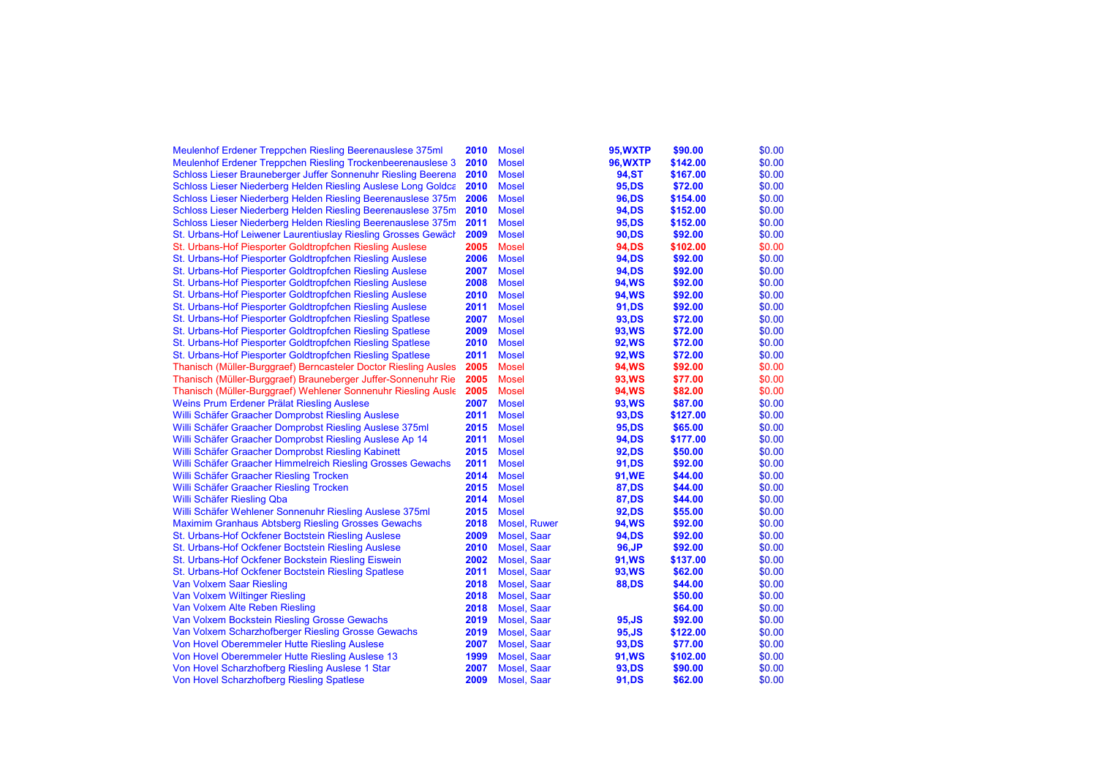| Meulenhof Erdener Treppchen Riesling Beerenauslese 375ml        | 2010 | <b>Mosel</b>       | 95, WXTP        | \$90.00  | \$0.00 |
|-----------------------------------------------------------------|------|--------------------|-----------------|----------|--------|
| Meulenhof Erdener Treppchen Riesling Trockenbeerenauslese 3     | 2010 | <b>Mosel</b>       | <b>96, WXTP</b> | \$142.00 | \$0.00 |
| Schloss Lieser Brauneberger Juffer Sonnenuhr Riesling Beerena   | 2010 | <b>Mosel</b>       | <b>94,ST</b>    | \$167.00 | \$0.00 |
| Schloss Lieser Niederberg Helden Riesling Auslese Long Goldca   | 2010 | <b>Mosel</b>       | 95, DS          | \$72.00  | \$0.00 |
| Schloss Lieser Niederberg Helden Riesling Beerenauslese 375m    | 2006 | <b>Mosel</b>       | 96, DS          | \$154.00 | \$0.00 |
| Schloss Lieser Niederberg Helden Riesling Beerenauslese 375m    | 2010 | <b>Mosel</b>       | 94, DS          | \$152.00 | \$0.00 |
| Schloss Lieser Niederberg Helden Riesling Beerenauslese 375m    | 2011 | <b>Mosel</b>       | 95, DS          | \$152.00 | \$0.00 |
| St. Urbans-Hof Leiwener Laurentiuslay Riesling Grosses Gewäch   | 2009 | <b>Mosel</b>       | 90,DS           | \$92.00  | \$0.00 |
| St. Urbans-Hof Piesporter Goldtropfchen Riesling Auslese        | 2005 | <b>Mosel</b>       | 94, DS          | \$102.00 | \$0.00 |
| St. Urbans-Hof Piesporter Goldtropfchen Riesling Auslese        | 2006 | <b>Mosel</b>       | 94, DS          | \$92.00  | \$0.00 |
| St. Urbans-Hof Piesporter Goldtropfchen Riesling Auslese        | 2007 | <b>Mosel</b>       | 94, DS          | \$92.00  | \$0.00 |
| St. Urbans-Hof Piesporter Goldtropfchen Riesling Auslese        | 2008 | <b>Mosel</b>       | <b>94, WS</b>   | \$92.00  | \$0.00 |
| St. Urbans-Hof Piesporter Goldtropfchen Riesling Auslese        | 2010 | <b>Mosel</b>       | <b>94, WS</b>   | \$92.00  | \$0.00 |
| St. Urbans-Hof Piesporter Goldtropfchen Riesling Auslese        | 2011 | <b>Mosel</b>       | 91, DS          | \$92.00  | \$0.00 |
| St. Urbans-Hof Piesporter Goldtropfchen Riesling Spatlese       | 2007 | <b>Mosel</b>       | 93, DS          | \$72.00  | \$0.00 |
| St. Urbans-Hof Piesporter Goldtropfchen Riesling Spatlese       | 2009 | <b>Mosel</b>       | <b>93, WS</b>   | \$72.00  | \$0.00 |
| St. Urbans-Hof Piesporter Goldtropfchen Riesling Spatlese       | 2010 | <b>Mosel</b>       | <b>92, WS</b>   | \$72.00  | \$0.00 |
| St. Urbans-Hof Piesporter Goldtropfchen Riesling Spatlese       | 2011 | <b>Mosel</b>       | <b>92, WS</b>   | \$72.00  | \$0.00 |
| Thanisch (Müller-Burggraef) Berncasteler Doctor Riesling Ausles | 2005 | <b>Mosel</b>       | 94, WS          | \$92.00  | \$0.00 |
| Thanisch (Müller-Burggraef) Brauneberger Juffer-Sonnenuhr Rie   | 2005 | <b>Mosel</b>       | 93, WS          | \$77.00  | \$0.00 |
| Thanisch (Müller-Burggraef) Wehlener Sonnenuhr Riesling Ausle   | 2005 | <b>Mosel</b>       | 94, WS          | \$82.00  | \$0.00 |
| Weins Prum Erdener Prälat Riesling Auslese                      | 2007 | <b>Mosel</b>       | 93, WS          | \$87.00  | \$0.00 |
| Willi Schäfer Graacher Domprobst Riesling Auslese               | 2011 | <b>Mosel</b>       | 93, DS          | \$127.00 | \$0.00 |
| Willi Schäfer Graacher Domprobst Riesling Auslese 375ml         | 2015 | <b>Mosel</b>       | 95, DS          | \$65.00  | \$0.00 |
| Willi Schäfer Graacher Domprobst Riesling Auslese Ap 14         | 2011 | <b>Mosel</b>       | 94, DS          | \$177.00 | \$0.00 |
| Willi Schäfer Graacher Domprobst Riesling Kabinett              | 2015 | <b>Mosel</b>       | 92, DS          | \$50.00  | \$0.00 |
| Willi Schäfer Graacher Himmelreich Riesling Grosses Gewachs     | 2011 | <b>Mosel</b>       | 91, DS          | \$92.00  | \$0.00 |
| Willi Schäfer Graacher Riesling Trocken                         | 2014 | <b>Mosel</b>       | 91, WE          | \$44.00  | \$0.00 |
| Willi Schäfer Graacher Riesling Trocken                         | 2015 | <b>Mosel</b>       | 87,DS           | \$44.00  | \$0.00 |
| Willi Schäfer Riesling Qba                                      | 2014 | <b>Mosel</b>       | 87, DS          | \$44.00  | \$0.00 |
| Willi Schäfer Wehlener Sonnenuhr Riesling Auslese 375ml         | 2015 | <b>Mosel</b>       | 92, DS          | \$55.00  | \$0.00 |
| <b>Maximim Granhaus Abtsberg Riesling Grosses Gewachs</b>       | 2018 | Mosel, Ruwer       | <b>94, WS</b>   | \$92.00  | \$0.00 |
| St. Urbans-Hof Ockfener Boctstein Riesling Auslese              | 2009 | Mosel, Saar        | 94, DS          | \$92.00  | \$0.00 |
| St. Urbans-Hof Ockfener Boctstein Riesling Auslese              | 2010 | <b>Mosel, Saar</b> | 96, JP          | \$92.00  | \$0.00 |
| St. Urbans-Hof Ockfener Bockstein Riesling Eiswein              | 2002 | <b>Mosel, Saar</b> | 91, WS          | \$137.00 | \$0.00 |
| St. Urbans-Hof Ockfener Boctstein Riesling Spatlese             | 2011 | <b>Mosel, Saar</b> | <b>93, WS</b>   | \$62.00  | \$0.00 |
| <b>Van Volxem Saar Riesling</b>                                 | 2018 | Mosel, Saar        | <b>88,DS</b>    | \$44.00  | \$0.00 |
| Van Volxem Wiltinger Riesling                                   | 2018 | Mosel, Saar        |                 | \$50.00  | \$0.00 |
| Van Volxem Alte Reben Riesling                                  | 2018 | <b>Mosel, Saar</b> |                 | \$64.00  | \$0.00 |
| Van Volxem Bockstein Riesling Grosse Gewachs                    | 2019 | Mosel, Saar        | 95, JS          | \$92.00  | \$0.00 |
| Van Volxem Scharzhofberger Riesling Grosse Gewachs              | 2019 | Mosel, Saar        | 95, JS          | \$122.00 | \$0.00 |
| Von Hovel Oberemmeler Hutte Riesling Auslese                    | 2007 | Mosel, Saar        | 93, DS          | \$77.00  | \$0.00 |
| Von Hovel Oberemmeler Hutte Riesling Auslese 13                 | 1999 | Mosel, Saar        | 91, WS          | \$102.00 | \$0.00 |
| Von Hovel Scharzhofberg Riesling Auslese 1 Star                 | 2007 | Mosel, Saar        | 93, DS          | \$90.00  | \$0.00 |
| <b>Von Hovel Scharzhofberg Riesling Spatlese</b>                | 2009 | <b>Mosel, Saar</b> | 91, DS          | \$62.00  | \$0.00 |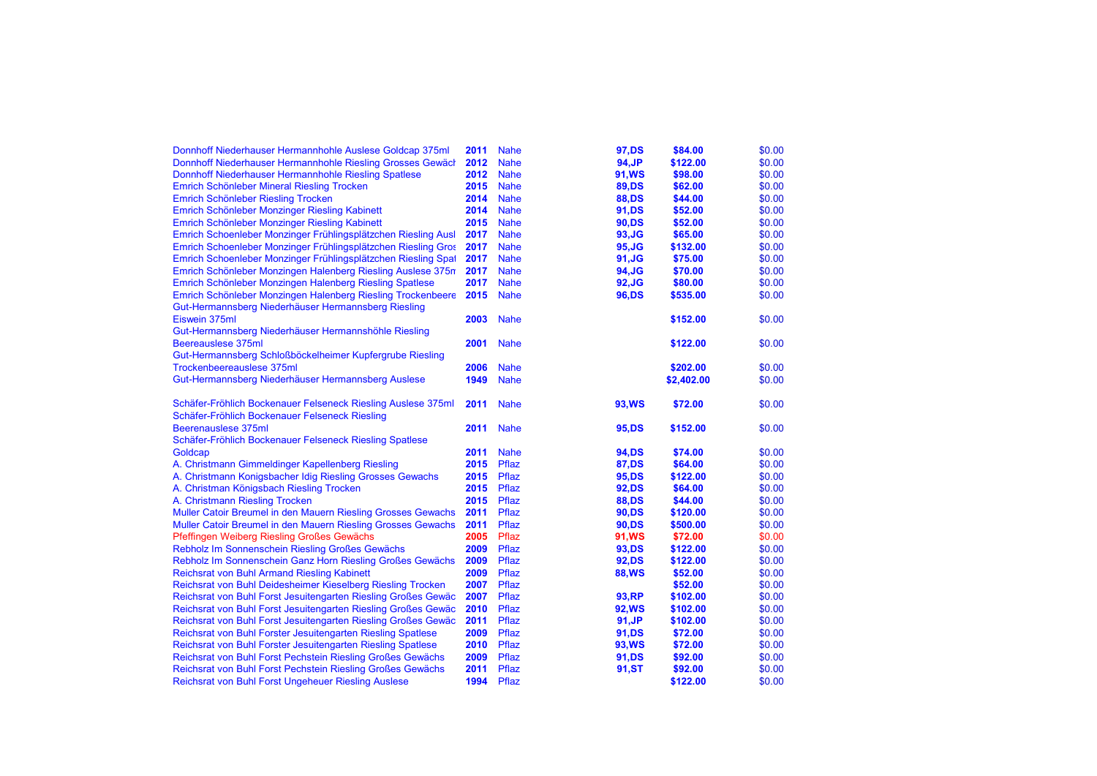| Donnhoff Niederhauser Hermannhohle Auslese Goldcap 375ml      | 2011         | <b>Nahe</b> | 97, DS             | \$84.00             | \$0.00           |
|---------------------------------------------------------------|--------------|-------------|--------------------|---------------------|------------------|
| Donnhoff Niederhauser Hermannhohle Riesling Grosses Gewäch    | 2012         | <b>Nahe</b> | 94, JP             | \$122.00            | \$0.00           |
| Donnhoff Niederhauser Hermannhohle Riesling Spatlese          | 2012         | <b>Nahe</b> | <b>91, WS</b>      | \$98.00             | \$0.00           |
| Emrich Schönleber Mineral Riesling Trocken                    | 2015         | <b>Nahe</b> | <b>89,DS</b>       | \$62.00             | \$0.00           |
| Emrich Schönleber Riesling Trocken                            | 2014         | <b>Nahe</b> | <b>88,DS</b>       | \$44.00             | \$0.00           |
| Emrich Schönleber Monzinger Riesling Kabinett                 | 2014         | <b>Nahe</b> | 91,DS              | \$52.00             | \$0.00           |
| Emrich Schönleber Monzinger Riesling Kabinett                 | 2015         | <b>Nahe</b> | 90,DS              | \$52.00             | \$0.00           |
| Emrich Schoenleber Monzinger Frühlingsplätzchen Riesling Ausl | 2017         | <b>Nahe</b> | 93, JG             | \$65.00             | \$0.00           |
| Emrich Schoenleber Monzinger Frühlingsplätzchen Riesling Gros | 2017         | <b>Nahe</b> | 95, JG             | \$132.00            | \$0.00           |
| Emrich Schoenleber Monzinger Frühlingsplätzchen Riesling Spat | 2017         | <b>Nahe</b> | $91,$ JG           | \$75.00             | \$0.00           |
| Emrich Schönleber Monzingen Halenberg Riesling Auslese 375n   | 2017         | <b>Nahe</b> | 94, JG             | \$70.00             | \$0.00           |
| Emrich Schönleber Monzingen Halenberg Riesling Spatlese       | 2017         | <b>Nahe</b> | $92, \mathsf{J}$ G | \$80.00             | \$0.00           |
| Emrich Schönleber Monzingen Halenberg Riesling Trockenbeere   | 2015         | <b>Nahe</b> | 96,DS              | \$535.00            | \$0.00           |
| Gut-Hermannsberg Niederhäuser Hermannsberg Riesling           |              |             |                    |                     |                  |
| Eiswein 375ml                                                 | 2003         | <b>Nahe</b> |                    | \$152.00            | \$0.00           |
| Gut-Hermannsberg Niederhäuser Hermannshöhle Riesling          |              |             |                    |                     |                  |
| Beereauslese 375ml                                            | 2001         | <b>Nahe</b> |                    | \$122.00            | \$0.00           |
| Gut-Hermannsberg Schloßböckelheimer Kupfergrube Riesling      |              |             |                    |                     |                  |
| Trockenbeereauslese 375ml                                     | 2006         | <b>Nahe</b> |                    | \$202.00            | \$0.00           |
| Gut-Hermannsberg Niederhäuser Hermannsberg Auslese            | 1949         | <b>Nahe</b> |                    | \$2,402.00          | \$0.00           |
|                                                               |              |             |                    |                     |                  |
| Schäfer-Fröhlich Bockenauer Felseneck Riesling Auslese 375ml  | 2011         | <b>Nahe</b> | <b>93, WS</b>      | \$72.00             | \$0.00           |
| Schäfer-Fröhlich Bockenauer Felseneck Riesling                |              |             |                    |                     |                  |
| Beerenauslese 375ml                                           | 2011         | <b>Nahe</b> | 95, DS             | \$152.00            | \$0.00           |
| Schäfer-Fröhlich Bockenauer Felseneck Riesling Spatlese       |              |             |                    |                     |                  |
| Goldcap                                                       | 2011         | <b>Nahe</b> | 94, DS             | \$74.00             | \$0.00           |
| A. Christmann Gimmeldinger Kapellenberg Riesling              | 2015         | Pflaz       | <b>87,DS</b>       | \$64.00             | \$0.00           |
| A. Christmann Konigsbacher Idig Riesling Grosses Gewachs      | 2015         | Pflaz       | 95, DS             | \$122.00            | \$0.00           |
| A. Christman Königsbach Riesling Trocken                      | 2015         | Pflaz       | 92, DS             | \$64.00             | \$0.00           |
| A. Christmann Riesling Trocken                                | 2015         | Pflaz       | <b>88,DS</b>       | \$44.00             | \$0.00           |
| Muller Catoir Breumel in den Mauern Riesling Grosses Gewachs  | 2011         | Pflaz       | 90,DS              | \$120.00            | \$0.00           |
| Muller Catoir Breumel in den Mauern Riesling Grosses Gewachs  | 2011         | Pflaz       | 90,DS              | \$500.00            | \$0.00           |
|                                                               | 2005         | Pflaz       |                    | \$72.00             | \$0.00           |
| Pfeffingen Weiberg Riesling Großes Gewächs                    | 2009         | Pflaz       | 91, WS             | \$122.00            | \$0.00           |
| Rebholz Im Sonnenschein Riesling Großes Gewächs               | 2009         | Pflaz       | 93, DS             |                     |                  |
| Rebholz Im Sonnenschein Ganz Horn Riesling Großes Gewächs     | 2009         | Pflaz       | <b>92,DS</b>       | \$122.00            | \$0.00<br>\$0.00 |
| <b>Reichsrat von Buhl Armand Riesling Kabinett</b>            |              | Pflaz       | <b>88, WS</b>      | \$52.00             |                  |
| Reichsrat von Buhl Deidesheimer Kieselberg Riesling Trocken   | 2007<br>2007 | Pflaz       |                    | \$52.00<br>\$102.00 | \$0.00<br>\$0.00 |
| Reichsrat von Buhl Forst Jesuitengarten Riesling Großes Gewäc |              |             | 93, RP             |                     |                  |
| Reichsrat von Buhl Forst Jesuitengarten Riesling Großes Gewäc | 2010         | Pflaz       | <b>92, WS</b>      | \$102.00            | \$0.00           |
| Reichsrat von Buhl Forst Jesuitengarten Riesling Großes Gewäc | 2011         | Pflaz       | 91, JP             | \$102.00            | \$0.00           |
| Reichsrat von Buhl Forster Jesuitengarten Riesling Spatlese   | 2009         | Pflaz       | 91, DS             | \$72.00             | \$0.00           |
| Reichsrat von Buhl Forster Jesuitengarten Riesling Spatlese   | 2010         | Pflaz       | <b>93, WS</b>      | \$72.00             | \$0.00           |
| Reichsrat von Buhl Forst Pechstein Riesling Großes Gewächs    | 2009         | Pflaz       | 91,DS              | \$92.00             | \$0.00           |
| Reichsrat von Buhl Forst Pechstein Riesling Großes Gewächs    | 2011         | Pflaz       | 91,ST              | \$92.00             | \$0.00           |
| Reichsrat von Buhl Forst Ungeheuer Riesling Auslese           | 1994         | Pflaz       |                    | \$122.00            | \$0.00           |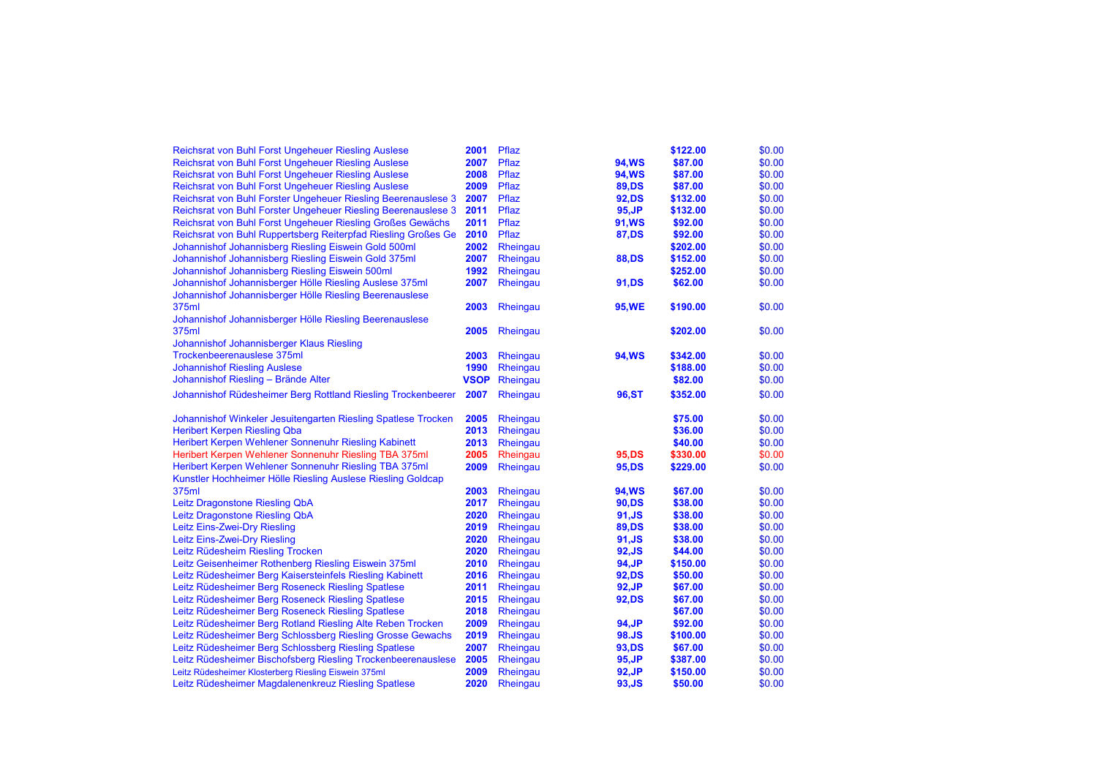| Reichsrat von Buhl Forst Ungeheuer Riesling Auslese           | 2001        | Pflaz    |               | \$122.00 | \$0.00 |
|---------------------------------------------------------------|-------------|----------|---------------|----------|--------|
| Reichsrat von Buhl Forst Ungeheuer Riesling Auslese           | 2007        | Pflaz    | <b>94, WS</b> | \$87.00  | \$0.00 |
| <b>Reichsrat von Buhl Forst Ungeheuer Riesling Auslese</b>    | 2008        | Pflaz    | <b>94, WS</b> | \$87.00  | \$0.00 |
| Reichsrat von Buhl Forst Ungeheuer Riesling Auslese           | 2009        | Pflaz    | <b>89,DS</b>  | \$87.00  | \$0.00 |
| Reichsrat von Buhl Forster Ungeheuer Riesling Beerenauslese 3 | 2007        | Pflaz    | 92, DS        | \$132.00 | \$0.00 |
| Reichsrat von Buhl Forster Ungeheuer Riesling Beerenauslese 3 | 2011        | Pflaz    | 95, JP        | \$132.00 | \$0.00 |
| Reichsrat von Buhl Forst Ungeheuer Riesling Großes Gewächs    | 2011        | Pflaz    | 91, WS        | \$92.00  | \$0.00 |
| Reichsrat von Buhl Ruppertsberg Reiterpfad Riesling Großes Ge | 2010        | Pflaz    | <b>87,DS</b>  | \$92.00  | \$0.00 |
| Johannishof Johannisberg Riesling Eiswein Gold 500ml          | 2002        | Rheingau |               | \$202.00 | \$0.00 |
| Johannishof Johannisberg Riesling Eiswein Gold 375ml          | 2007        | Rheingau | <b>88,DS</b>  | \$152.00 | \$0.00 |
| Johannishof Johannisberg Riesling Eiswein 500ml               | 1992        | Rheingau |               | \$252.00 | \$0.00 |
| Johannishof Johannisberger Hölle Riesling Auslese 375ml       | 2007        | Rheingau | 91, DS        | \$62.00  | \$0.00 |
| Johannishof Johannisberger Hölle Riesling Beerenauslese       |             |          |               |          |        |
| 375ml                                                         | 2003        | Rheingau | 95, WE        | \$190.00 | \$0.00 |
| Johannishof Johannisberger Hölle Riesling Beerenauslese       |             |          |               |          |        |
| 375ml                                                         | 2005        | Rheingau |               | \$202.00 | \$0.00 |
| Johannishof Johannisberger Klaus Riesling                     |             |          |               |          |        |
| Trockenbeerenauslese 375ml                                    | 2003        | Rheingau | <b>94, WS</b> | \$342.00 | \$0.00 |
| <b>Johannishof Riesling Auslese</b>                           | 1990        | Rheingau |               | \$188.00 | \$0.00 |
| Johannishof Riesling - Brände Alter                           | <b>VSOP</b> | Rheingau |               | \$82.00  | \$0.00 |
| Johannishof Rüdesheimer Berg Rottland Riesling Trockenbeerer  | 2007        | Rheingau | 96, ST        | \$352.00 | \$0.00 |
| Johannishof Winkeler Jesuitengarten Riesling Spatlese Trocken | 2005        | Rheingau |               | \$75.00  | \$0.00 |
| <b>Heribert Kerpen Riesling Qba</b>                           | 2013        | Rheingau |               | \$36.00  | \$0.00 |
| Heribert Kerpen Wehlener Sonnenuhr Riesling Kabinett          | 2013        | Rheingau |               | \$40.00  | \$0.00 |
| Heribert Kerpen Wehlener Sonnenuhr Riesling TBA 375ml         | 2005        | Rheingau | 95, DS        | \$330.00 | \$0.00 |
| Heribert Kerpen Wehlener Sonnenuhr Riesling TBA 375ml         | 2009        | Rheingau | 95, DS        | \$229.00 | \$0.00 |
| Kunstler Hochheimer Hölle Riesling Auslese Riesling Goldcap   |             |          |               |          |        |
| 375ml                                                         | 2003        | Rheingau | 94, WS        | \$67.00  | \$0.00 |
| Leitz Dragonstone Riesling QbA                                | 2017        | Rheingau | 90,DS         | \$38.00  | \$0.00 |
| Leitz Dragonstone Riesling QbA                                | 2020        | Rheingau | 91, JS        | \$38.00  | \$0.00 |
| Leitz Eins-Zwei-Dry Riesling                                  | 2019        | Rheingau | <b>89,DS</b>  | \$38.00  | \$0.00 |
| Leitz Eins-Zwei-Dry Riesling                                  | 2020        | Rheingau | 91, JS        | \$38.00  | \$0.00 |
| Leitz Rüdesheim Riesling Trocken                              | 2020        | Rheingau | 92, JS        | \$44.00  | \$0.00 |
| Leitz Geisenheimer Rothenberg Riesling Eiswein 375ml          | 2010        | Rheingau | 94, JP        | \$150.00 | \$0.00 |
| Leitz Rüdesheimer Berg Kaisersteinfels Riesling Kabinett      | 2016        | Rheingau | 92, DS        | \$50.00  | \$0.00 |
| Leitz Rüdesheimer Berg Roseneck Riesling Spatlese             | 2011        | Rheingau | 92, JP        | \$67.00  | \$0.00 |
| Leitz Rüdesheimer Berg Roseneck Riesling Spatlese             | 2015        | Rheingau | 92, DS        | \$67.00  | \$0.00 |
| Leitz Rüdesheimer Berg Roseneck Riesling Spatlese             | 2018        | Rheingau |               | \$67.00  | \$0.00 |
| Leitz Rüdesheimer Berg Rotland Riesling Alte Reben Trocken    | 2009        | Rheingau | 94, JP        | \$92.00  | \$0.00 |
| Leitz Rüdesheimer Berg Schlossberg Riesling Grosse Gewachs    | 2019        | Rheingau | 98.JS         | \$100.00 | \$0.00 |
| Leitz Rüdesheimer Berg Schlossberg Riesling Spatlese          | 2007        | Rheingau | 93, DS        | \$67.00  | \$0.00 |
| Leitz Rüdesheimer Bischofsberg Riesling Trockenbeerenauslese  | 2005        | Rheingau | 95, JP        | \$387.00 | \$0.00 |
| Leitz Rüdesheimer Klosterberg Riesling Eiswein 375ml          | 2009        | Rheingau | 92, JP        | \$150.00 | \$0.00 |
| Leitz Rüdesheimer Magdalenenkreuz Riesling Spatlese           | 2020        | Rheingau | 93.JS         | \$50.00  | \$0.00 |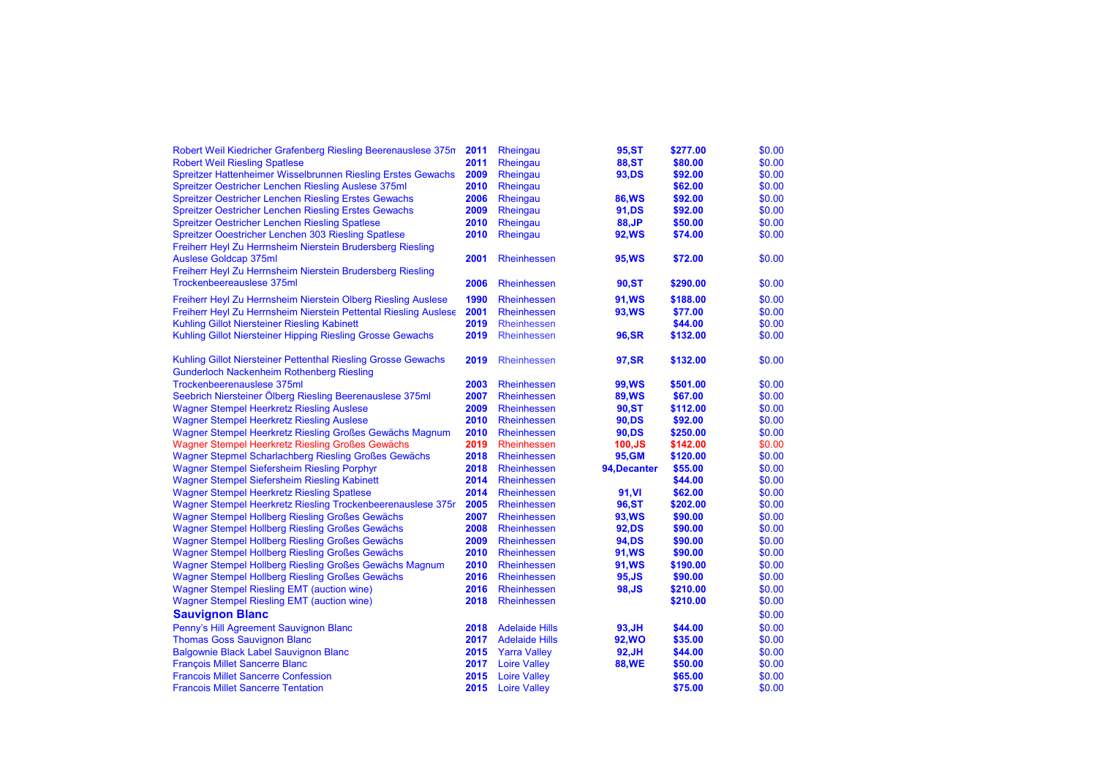| Robert Weil Kiedricher Grafenberg Riesling Beerenauslese 375n    | 2011 | Rheingau              | 95, ST        | \$277.00 | \$0.00 |
|------------------------------------------------------------------|------|-----------------------|---------------|----------|--------|
| <b>Robert Weil Riesling Spatlese</b>                             | 2011 | Rheingau              | <b>88,ST</b>  | \$80.00  | \$0.00 |
| Spreitzer Hattenheimer Wisselbrunnen Riesling Erstes Gewachs     | 2009 | Rheingau              | 93, DS        | \$92.00  | \$0.00 |
| Spreitzer Oestricher Lenchen Riesling Auslese 375ml              | 2010 | Rheingau              |               | \$62.00  | \$0.00 |
| <b>Spreitzer Oestricher Lenchen Riesling Erstes Gewachs</b>      | 2006 | Rheingau              | <b>86,WS</b>  | \$92.00  | \$0.00 |
| <b>Spreitzer Oestricher Lenchen Riesling Erstes Gewachs</b>      | 2009 | Rheingau              | 91, DS        | \$92.00  | \$0.00 |
| <b>Spreitzer Oestricher Lenchen Riesling Spatlese</b>            | 2010 | Rheingau              | 88, JP        | \$50.00  | \$0.00 |
| Spreitzer Ooestricher Lenchen 303 Riesling Spatlese              | 2010 | Rheingau              | <b>92, WS</b> | \$74.00  | \$0.00 |
| Freiherr Heyl Zu Herrnsheim Nierstein Brudersberg Riesling       |      |                       |               |          |        |
| <b>Auslese Goldcap 375ml</b>                                     | 2001 | <b>Rheinhessen</b>    | <b>95,WS</b>  | \$72.00  | \$0.00 |
| Freiherr Heyl Zu Herrnsheim Nierstein Brudersberg Riesling       |      |                       |               |          |        |
| Trockenbeereauslese 375ml                                        | 2006 | <b>Rheinhessen</b>    | 90, ST        | \$290.00 | \$0.00 |
| Freiherr Heyl Zu Herrnsheim Nierstein Olberg Riesling Auslese    | 1990 | <b>Rheinhessen</b>    | <b>91, WS</b> | \$188.00 | \$0.00 |
| Freiherr Heyl Zu Herrnsheim Nierstein Pettental Riesling Auslese | 2001 | <b>Rheinhessen</b>    | 93, WS        | \$77.00  | \$0.00 |
| Kuhling Gillot Niersteiner Riesling Kabinett                     | 2019 | <b>Rheinhessen</b>    |               | \$44.00  | \$0.00 |
| Kuhling Gillot Niersteiner Hipping Riesling Grosse Gewachs       | 2019 | <b>Rheinhessen</b>    | 96, SR        | \$132.00 | \$0.00 |
|                                                                  |      |                       |               |          |        |
| Kuhling Gillot Niersteiner Pettenthal Riesling Grosse Gewachs    | 2019 | Rheinhessen           | <b>97,SR</b>  | \$132.00 | \$0.00 |
| <b>Gunderloch Nackenheim Rothenberg Riesling</b>                 |      |                       |               |          |        |
| Trockenbeerenauslese 375ml                                       | 2003 | <b>Rheinhessen</b>    | 99,WS         | \$501.00 | \$0.00 |
| Seebrich Niersteiner Ölberg Riesling Beerenauslese 375ml         | 2007 | <b>Rheinhessen</b>    | <b>89, WS</b> | \$67.00  | \$0.00 |
| <b>Wagner Stempel Heerkretz Riesling Auslese</b>                 | 2009 | <b>Rheinhessen</b>    | <b>90,ST</b>  | \$112.00 | \$0.00 |
| <b>Wagner Stempel Heerkretz Riesling Auslese</b>                 | 2010 | <b>Rheinhessen</b>    | 90,DS         | \$92.00  | \$0.00 |
| Wagner Stempel Heerkretz Riesling Großes Gewächs Magnum          | 2010 | <b>Rheinhessen</b>    | 90,DS         | \$250.00 | \$0.00 |
| Wagner Stempel Heerkretz Riesling Großes Gewächs                 | 2019 | Rheinhessen           | $100,$ JS     | \$142.00 | \$0.00 |
| Wagner Stepmel Scharlachberg Riesling Großes Gewächs             | 2018 | <b>Rheinhessen</b>    | 95, GM        | \$120.00 | \$0.00 |
| Wagner Stempel Siefersheim Riesling Porphyr                      | 2018 | <b>Rheinhessen</b>    | 94, Decanter  | \$55.00  | \$0.00 |
| <b>Wagner Stempel Siefersheim Riesling Kabinett</b>              | 2014 | <b>Rheinhessen</b>    |               | \$44.00  | \$0.00 |
| <b>Wagner Stempel Heerkretz Riesling Spatlese</b>                | 2014 | <b>Rheinhessen</b>    | 91, VI        | \$62.00  | \$0.00 |
| Wagner Stempel Heerkretz Riesling Trockenbeerenauslese 375r      | 2005 | <b>Rheinhessen</b>    | <b>96,ST</b>  | \$202.00 | \$0.00 |
| Wagner Stempel Hollberg Riesling Großes Gewächs                  | 2007 | <b>Rheinhessen</b>    | <b>93, WS</b> | \$90.00  | \$0.00 |
| Wagner Stempel Hollberg Riesling Großes Gewächs                  | 2008 | <b>Rheinhessen</b>    | 92, DS        | \$90.00  | \$0.00 |
| Wagner Stempel Hollberg Riesling Großes Gewächs                  | 2009 | <b>Rheinhessen</b>    | 94, DS        | \$90.00  | \$0.00 |
| Wagner Stempel Hollberg Riesling Großes Gewächs                  | 2010 | <b>Rheinhessen</b>    | 91, WS        | \$90.00  | \$0.00 |
| Wagner Stempel Hollberg Riesling Großes Gewächs Magnum           | 2010 | <b>Rheinhessen</b>    | 91,WS         | \$190.00 | \$0.00 |
| Wagner Stempel Hollberg Riesling Großes Gewächs                  | 2016 | <b>Rheinhessen</b>    | 95, JS        | \$90.00  | \$0.00 |
| <b>Wagner Stempel Riesling EMT (auction wine)</b>                | 2016 | <b>Rheinhessen</b>    | 98, JS        | \$210.00 | \$0.00 |
| <b>Wagner Stempel Riesling EMT (auction wine)</b>                | 2018 | <b>Rheinhessen</b>    |               | \$210.00 | \$0.00 |
| <b>Sauvignon Blanc</b>                                           |      |                       |               |          | \$0.00 |
| Penny's Hill Agreement Sauvignon Blanc                           | 2018 | <b>Adelaide Hills</b> | 93, JH        | \$44.00  | \$0.00 |
| <b>Thomas Goss Sauvignon Blanc</b>                               | 2017 | <b>Adelaide Hills</b> | <b>92, WO</b> | \$35.00  | \$0.00 |
| Balgownie Black Label Sauvignon Blanc                            | 2015 | <b>Yarra Valley</b>   | 92, JH        | \$44.00  | \$0.00 |
| <b>François Millet Sancerre Blanc</b>                            | 2017 | <b>Loire Valley</b>   | <b>88, WE</b> | \$50.00  | \$0.00 |
| <b>Francois Millet Sancerre Confession</b>                       | 2015 | <b>Loire Valley</b>   |               | \$65.00  | \$0.00 |
| <b>Francois Millet Sancerre Tentation</b>                        | 2015 | <b>Loire Valley</b>   |               | \$75.00  | \$0.00 |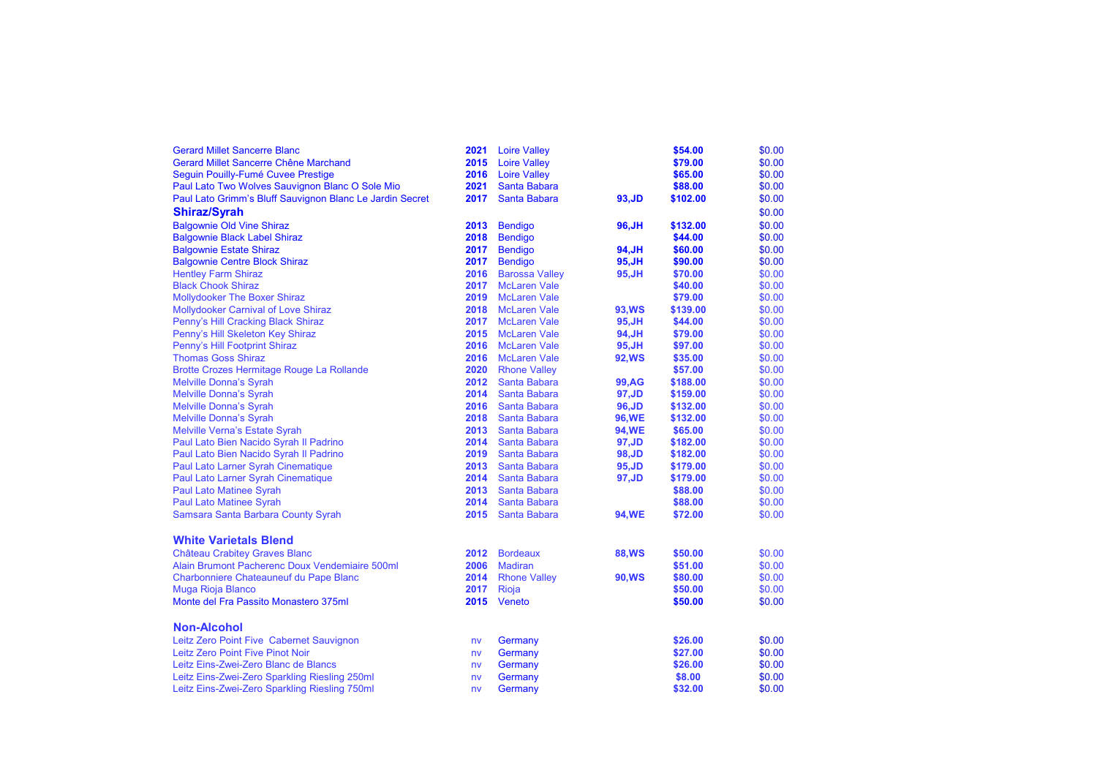| <b>Gerard Millet Sancerre Blanc</b>                      | 2021 | <b>Loire Valley</b>   |               | \$54.00  | \$0.00 |
|----------------------------------------------------------|------|-----------------------|---------------|----------|--------|
| Gerard Millet Sancerre Chêne Marchand                    | 2015 | <b>Loire Valley</b>   |               | \$79.00  | \$0.00 |
| Seguin Pouilly-Fumé Cuvee Prestige                       | 2016 | <b>Loire Valley</b>   |               | \$65.00  | \$0.00 |
| Paul Lato Two Wolves Sauvignon Blanc O Sole Mio          | 2021 | <b>Santa Babara</b>   |               | \$88.00  | \$0.00 |
| Paul Lato Grimm's Bluff Sauvignon Blanc Le Jardin Secret | 2017 | <b>Santa Babara</b>   | 93, JD        | \$102.00 | \$0.00 |
| <b>Shiraz/Syrah</b>                                      |      |                       |               |          | \$0.00 |
| <b>Balgownie Old Vine Shiraz</b>                         | 2013 | <b>Bendigo</b>        | 96, JH        | \$132.00 | \$0.00 |
| <b>Balgownie Black Label Shiraz</b>                      | 2018 | <b>Bendigo</b>        |               | \$44.00  | \$0.00 |
| <b>Balgownie Estate Shiraz</b>                           | 2017 | <b>Bendigo</b>        | 94, JH        | \$60.00  | \$0.00 |
| <b>Balgownie Centre Block Shiraz</b>                     | 2017 | <b>Bendigo</b>        | 95, JH        | \$90.00  | \$0.00 |
| <b>Hentley Farm Shiraz</b>                               | 2016 | <b>Barossa Valley</b> | 95, JH        | \$70.00  | \$0.00 |
| <b>Black Chook Shiraz</b>                                | 2017 | <b>McLaren Vale</b>   |               | \$40.00  | \$0.00 |
| <b>Mollydooker The Boxer Shiraz</b>                      | 2019 | <b>McLaren Vale</b>   |               | \$79.00  | \$0.00 |
| <b>Mollydooker Carnival of Love Shiraz</b>               | 2018 | <b>McLaren Vale</b>   | 93, WS        | \$139.00 | \$0.00 |
| Penny's Hill Cracking Black Shiraz                       | 2017 | <b>McLaren Vale</b>   | 95, JH        | \$44.00  | \$0.00 |
| Penny's Hill Skeleton Key Shiraz                         | 2015 | <b>McLaren Vale</b>   | 94, JH        | \$79.00  | \$0.00 |
| Penny's Hill Footprint Shiraz                            | 2016 | <b>McLaren Vale</b>   | 95, JH        | \$97.00  | \$0.00 |
| <b>Thomas Goss Shiraz</b>                                | 2016 | <b>McLaren Vale</b>   | <b>92,WS</b>  | \$35.00  | \$0.00 |
| Brotte Crozes Hermitage Rouge La Rollande                | 2020 | <b>Rhone Valley</b>   |               | \$57.00  | \$0.00 |
| <b>Melville Donna's Syrah</b>                            | 2012 | Santa Babara          | <b>99, AG</b> | \$188.00 | \$0.00 |
| <b>Melville Donna's Syrah</b>                            | 2014 | Santa Babara          | 97, JD        | \$159.00 | \$0.00 |
| <b>Melville Donna's Syrah</b>                            | 2016 | Santa Babara          | 96, JD        | \$132.00 | \$0.00 |
| <b>Melville Donna's Syrah</b>                            | 2018 | Santa Babara          | 96, WE        | \$132.00 | \$0.00 |
| <b>Melville Verna's Estate Syrah</b>                     | 2013 | Santa Babara          | <b>94,WE</b>  | \$65.00  | \$0.00 |
| Paul Lato Bien Nacido Syrah II Padrino                   | 2014 | Santa Babara          | 97, JD        | \$182.00 | \$0.00 |
| Paul Lato Bien Nacido Syrah II Padrino                   | 2019 | Santa Babara          | 98, JD        | \$182.00 | \$0.00 |
| Paul Lato Larner Syrah Cinematique                       | 2013 | Santa Babara          | 95, JD        | \$179.00 | \$0.00 |
| Paul Lato Larner Syrah Cinematique                       | 2014 | Santa Babara          | 97, JD        | \$179.00 | \$0.00 |
| Paul Lato Matinee Syrah                                  | 2013 | Santa Babara          |               | \$88.00  | \$0.00 |
| <b>Paul Lato Matinee Syrah</b>                           | 2014 | Santa Babara          |               | \$88.00  | \$0.00 |
| Samsara Santa Barbara County Syrah                       | 2015 | Santa Babara          | <b>94,WE</b>  | \$72.00  | \$0.00 |
| <b>White Varietals Blend</b>                             |      |                       |               |          |        |
| <b>Château Crabitey Graves Blanc</b>                     | 2012 | <b>Bordeaux</b>       | <b>88,WS</b>  | \$50.00  | \$0.00 |
| Alain Brumont Pacherenc Doux Vendemiaire 500ml           | 2006 | <b>Madiran</b>        |               | \$51.00  | \$0.00 |
| Charbonniere Chateauneuf du Pape Blanc                   | 2014 | <b>Rhone Valley</b>   | <b>90, WS</b> | \$80.00  | \$0.00 |
| Muga Rioja Blanco                                        | 2017 | Rioja                 |               | \$50.00  | \$0.00 |
| Monte del Fra Passito Monastero 375ml                    | 2015 | Veneto                |               | \$50.00  | \$0.00 |
| <b>Non-Alcohol</b>                                       |      |                       |               |          |        |
| Leitz Zero Point Five Cabernet Sauvignon                 | nv   | Germany               |               | \$26.00  | \$0.00 |
| Leitz Zero Point Five Pinot Noir                         | nv   | Germany               |               | \$27.00  | \$0.00 |
| Leitz Eins-Zwei-Zero Blanc de Blancs                     | nv   | Germany               |               | \$26.00  | \$0.00 |
| Leitz Eins-Zwei-Zero Sparkling Riesling 250ml            | nv   | Germany               |               | \$8.00   | \$0.00 |
| Leitz Eins-Zwei-Zero Sparkling Riesling 750ml            | nv   | Germany               |               | \$32.00  | \$0.00 |